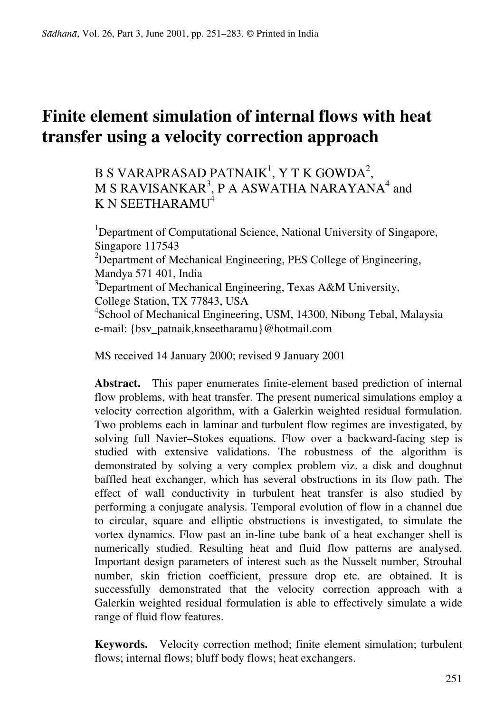# **Finite element simulation of internal flows with heat transfer using a velocity correction approach**

 $\, {\bf B} \,$  S <code>VARAPRASAD</code> <code>PATNAIK $\,$ ', Y T K GOWDA $\,$ 2 $\,$ ,  $\,$ </code> M S RAVISANKAR $^3$ , P A ASWATHA NARAYANA $^4$  and K N SEETHAR AMI $I^4$ 

<sup>1</sup>Department of Computational Science, National University of Singapore, Singapore 117543  $2D$ epartment of Mechanical Engineering, PES College of Engineering, Mandya 571 401, India <sup>3</sup>Department of Mechanical Engineering, Texas A&M University, College Station, TX 77843, USA 4 School of Mechanical Engineering, USM, 14300, Nibong Tebal, Malaysia e-mail: {bsv\_patnaik,knseetharamu}@hotmail.com

MS received 14 January 2000; revised 9 January 2001

**Abstract.** This paper enumerates finite-element based prediction of internal flow problems, with heat transfer. The present numerical simulations employ a velocity correction algorithm, with a Galerkin weighted residual formulation. Two problems each in laminar and turbulent flow regimes are investigated, by solving full Navier–Stokes equations. Flow over a backward-facing step is studied with extensive validations. The robustness of the algorithm is demonstrated by solving a very complex problem viz. a disk and doughnut baffled heat exchanger, which has several obstructions in its flow path. The effect of wall conductivity in turbulent heat transfer is also studied by performing a conjugate analysis. Temporal evolution of flow in a channel due to circular, square and elliptic obstructions is investigated, to simulate the vortex dynamics. Flow past an in-line tube bank of a heat exchanger shell is numerically studied. Resulting heat and fluid flow patterns are analysed. Important design parameters of interest such as the Nusselt number, Strouhal number, skin friction coefficient, pressure drop etc. are obtained. It is successfully demonstrated that the velocity correction approach with a Galerkin weighted residual formulation is able to effectively simulate a wide range of fluid flow features.

**Keywords.** Velocity correction method; finite element simulation; turbulent flows; internal flows; bluff body flows; heat exchangers.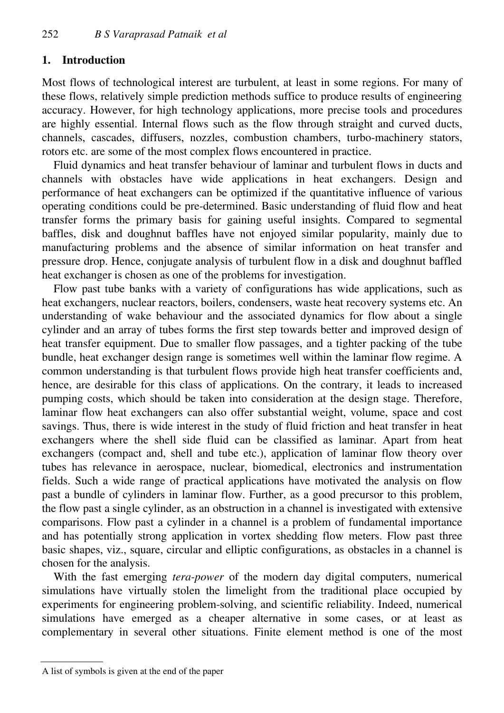## **1. Introduction**

Most flows of technological interest are turbulent, at least in some regions. For many of these flows, relatively simple prediction methods suffice to produce results of engineering accuracy. However, for high technology applications, more precise tools and procedures are highly essential. Internal flows such as the flow through straight and curved ducts, channels, cascades, diffusers, nozzles, combustion chambers, turbo-machinery stators, rotors etc. are some of the most complex flows encountered in practice.

Fluid dynamics and heat transfer behaviour of laminar and turbulent flows in ducts and channels with obstacles have wide applications in heat exchangers. Design and performance of heat exchangers can be optimized if the quantitative influence of various operating conditions could be pre-determined. Basic understanding of fluid flow and heat transfer forms the primary basis for gaining useful insights. Compared to segmental baffles, disk and doughnut baffles have not enjoyed similar popularity, mainly due to manufacturing problems and the absence of similar information on heat transfer and pressure drop. Hence, conjugate analysis of turbulent flow in a disk and doughnut baffled heat exchanger is chosen as one of the problems for investigation.

Flow past tube banks with a variety of configurations has wide applications, such as heat exchangers, nuclear reactors, boilers, condensers, waste heat recovery systems etc. An understanding of wake behaviour and the associated dynamics for flow about a single cylinder and an array of tubes forms the first step towards better and improved design of heat transfer equipment. Due to smaller flow passages, and a tighter packing of the tube bundle, heat exchanger design range is sometimes well within the laminar flow regime. A common understanding is that turbulent flows provide high heat transfer coefficients and, hence, are desirable for this class of applications. On the contrary, it leads to increased pumping costs, which should be taken into consideration at the design stage. Therefore, laminar flow heat exchangers can also offer substantial weight, volume, space and cost savings. Thus, there is wide interest in the study of fluid friction and heat transfer in heat exchangers where the shell side fluid can be classified as laminar. Apart from heat exchangers (compact and, shell and tube etc.), application of laminar flow theory over tubes has relevance in aerospace, nuclear, biomedical, electronics and instrumentation fields. Such a wide range of practical applications have motivated the analysis on flow past a bundle of cylinders in laminar flow. Further, as a good precursor to this problem, the flow past a single cylinder, as an obstruction in a channel is investigated with extensive comparisons. Flow past a cylinder in a channel is a problem of fundamental importance and has potentially strong application in vortex shedding flow meters. Flow past three basic shapes, viz., square, circular and elliptic configurations, as obstacles in a channel is chosen for the analysis.

With the fast emerging *tera-power* of the modern day digital computers, numerical simulations have virtually stolen the limelight from the traditional place occupied by experiments for engineering problem-solving, and scientific reliability. Indeed, numerical simulations have emerged as a cheaper alternative in some cases, or at least as complementary in several other situations. Finite element method is one of the most

A list of symbols is given at the end of the paper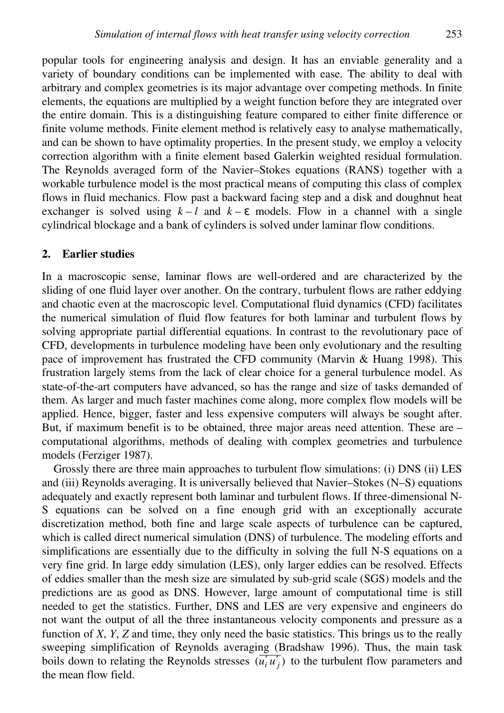popular tools for engineering analysis and design. It has an enviable generality and a variety of boundary conditions can be implemented with ease. The ability to deal with arbitrary and complex geometries is its major advantage over competing methods. In finite elements, the equations are multiplied by a weight function before they are integrated over the entire domain. This is a distinguishing feature compared to either finite difference or finite volume methods. Finite element method is relatively easy to analyse mathematically, and can be shown to have optimality properties. In the present study, we employ a velocity correction algorithm with a finite element based Galerkin weighted residual formulation. The Reynolds averaged form of the Navier–Stokes equations (RANS) together with a workable turbulence model is the most practical means of computing this class of complex flows in fluid mechanics. Flow past a backward facing step and a disk and doughnut heat exchanger is solved using  $k - l$  and  $k - \varepsilon$  models. Flow in a channel with a single cylindrical blockage and a bank of cylinders is solved under laminar flow conditions.

### **2. Earlier studies**

In a macroscopic sense, laminar flows are well-ordered and are characterized by the sliding of one fluid layer over another. On the contrary, turbulent flows are rather eddying and chaotic even at the macroscopic level. Computational fluid dynamics (CFD) facilitates the numerical simulation of fluid flow features for both laminar and turbulent flows by solving appropriate partial differential equations. In contrast to the revolutionary pace of CFD, developments in turbulence modeling have been only evolutionary and the resulting pace of improvement has frustrated the CFD community (Marvin & Huang 1998). This frustration largely stems from the lack of clear choice for a general turbulence model. As state-of-the-art computers have advanced, so has the range and size of tasks demanded of them. As larger and much faster machines come along, more complex flow models will be applied. Hence, bigger, faster and less expensive computers will always be sought after. But, if maximum benefit is to be obtained, three major areas need attention. These are – computational algorithms, methods of dealing with complex geometries and turbulence models (Ferziger 1987).

Grossly there are three main approaches to turbulent flow simulations: (i) DNS (ii) LES and (iii) Reynolds averaging. It is universally believed that Navier–Stokes (N–S) equations adequately and exactly represent both laminar and turbulent flows. If three-dimensional N-S equations can be solved on a fine enough grid with an exceptionally accurate discretization method, both fine and large scale aspects of turbulence can be captured, which is called direct numerical simulation (DNS) of turbulence. The modeling efforts and simplifications are essentially due to the difficulty in solving the full N-S equations on a very fine grid. In large eddy simulation (LES), only larger eddies can be resolved. Effects of eddies smaller than the mesh size are simulated by sub-grid scale (SGS) models and the predictions are as good as DNS. However, large amount of computational time is still needed to get the statistics. Further, DNS and LES are very expensive and engineers do not want the output of all the three instantaneous velocity components and pressure as a function of *X*, *Y*, *Z* and time, they only need the basic statistics. This brings us to the really sweeping simplification of Reynolds averaging (Bradshaw 1996). Thus, the main task boils down to relating the Reynolds stresses  $(\overline{u'_i u'_j})$  to the turbulent flow parameters and the mean flow field.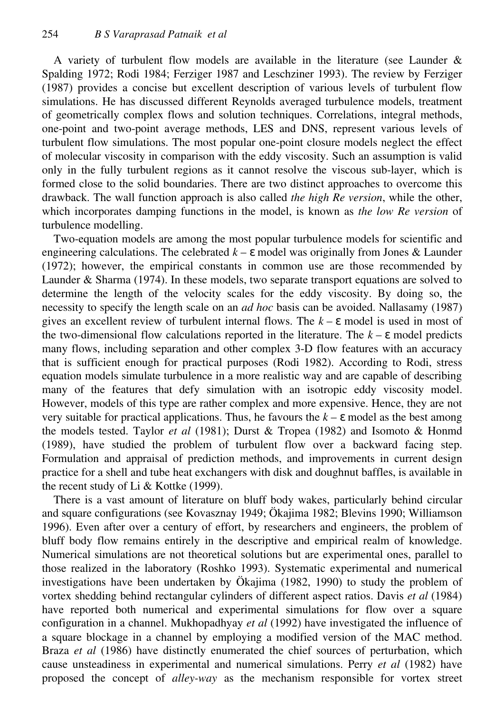A variety of turbulent flow models are available in the literature (see Launder & Spalding 1972; Rodi 1984; Ferziger 1987 and Leschziner 1993). The review by Ferziger (1987) provides a concise but excellent description of various levels of turbulent flow simulations. He has discussed different Reynolds averaged turbulence models, treatment of geometrically complex flows and solution techniques. Correlations, integral methods, one-point and two-point average methods, LES and DNS, represent various levels of turbulent flow simulations. The most popular one-point closure models neglect the effect of molecular viscosity in comparison with the eddy viscosity. Such an assumption is valid only in the fully turbulent regions as it cannot resolve the viscous sub-layer, which is formed close to the solid boundaries. There are two distinct approaches to overcome this drawback. The wall function approach is also called *the high Re version*, while the other, which incorporates damping functions in the model, is known as *the low Re version* of turbulence modelling.

Two-equation models are among the most popular turbulence models for scientific and engineering calculations. The celebrated  $k - \epsilon$  model was originally from Jones & Launder (1972); however, the empirical constants in common use are those recommended by Launder & Sharma (1974). In these models, two separate transport equations are solved to determine the length of the velocity scales for the eddy viscosity. By doing so, the necessity to specify the length scale on an *ad hoc* basis can be avoided. Nallasamy (1987) gives an excellent review of turbulent internal flows. The  $k - \varepsilon$  model is used in most of the two-dimensional flow calculations reported in the literature. The  $k - \varepsilon$  model predicts many flows, including separation and other complex 3-D flow features with an accuracy that is sufficient enough for practical purposes (Rodi 1982). According to Rodi, stress equation models simulate turbulence in a more realistic way and are capable of describing many of the features that defy simulation with an isotropic eddy viscosity model. However, models of this type are rather complex and more expensive. Hence, they are not very suitable for practical applications. Thus, he favours the  $k - \varepsilon$  model as the best among the models tested. Taylor *et al* (1981); Durst & Tropea (1982) and Isomoto & Honmd (1989), have studied the problem of turbulent flow over a backward facing step. Formulation and appraisal of prediction methods, and improvements in current design practice for a shell and tube heat exchangers with disk and doughnut baffles, is available in the recent study of Li & Kottke (1999).

There is a vast amount of literature on bluff body wakes, particularly behind circular and square configurations (see Kovasznay 1949; Ökajima 1982; Blevins 1990; Williamson 1996). Even after over a century of effort, by researchers and engineers, the problem of bluff body flow remains entirely in the descriptive and empirical realm of knowledge. Numerical simulations are not theoretical solutions but are experimental ones, parallel to those realized in the laboratory (Roshko 1993). Systematic experimental and numerical investigations have been undertaken by Ökajima (1982, 1990) to study the problem of vortex shedding behind rectangular cylinders of different aspect ratios. Davis *et al* (1984) have reported both numerical and experimental simulations for flow over a square configuration in a channel. Mukhopadhyay *et al* (1992) have investigated the influence of a square blockage in a channel by employing a modified version of the MAC method. Braza *et al* (1986) have distinctly enumerated the chief sources of perturbation, which cause unsteadiness in experimental and numerical simulations. Perry *et al* (1982) have proposed the concept of *alley-way* as the mechanism responsible for vortex street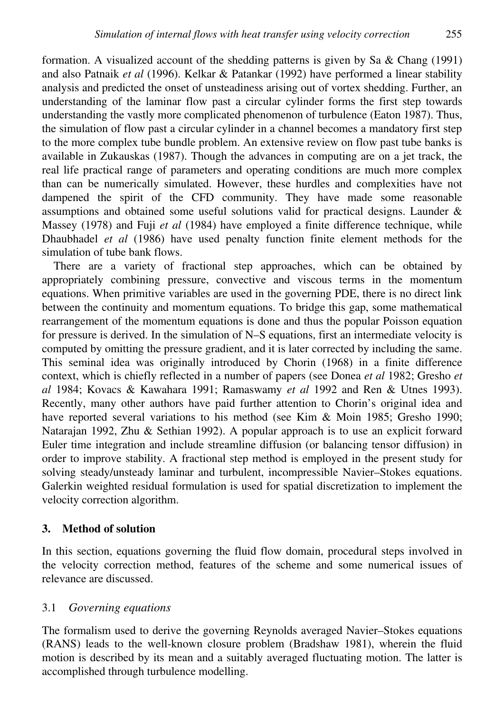formation. A visualized account of the shedding patterns is given by Sa & Chang (1991) and also Patnaik *et al* (1996). Kelkar & Patankar (1992) have performed a linear stability analysis and predicted the onset of unsteadiness arising out of vortex shedding. Further, an understanding of the laminar flow past a circular cylinder forms the first step towards understanding the vastly more complicated phenomenon of turbulence (Eaton 1987). Thus, the simulation of flow past a circular cylinder in a channel becomes a mandatory first step to the more complex tube bundle problem. An extensive review on flow past tube banks is available in Zukauskas (1987). Though the advances in computing are on a jet track, the real life practical range of parameters and operating conditions are much more complex than can be numerically simulated. However, these hurdles and complexities have not dampened the spirit of the CFD community. They have made some reasonable assumptions and obtained some useful solutions valid for practical designs. Launder & Massey (1978) and Fuji *et al* (1984) have employed a finite difference technique, while Dhaubhadel *et al* (1986) have used penalty function finite element methods for the simulation of tube bank flows.

There are a variety of fractional step approaches, which can be obtained by appropriately combining pressure, convective and viscous terms in the momentum equations. When primitive variables are used in the governing PDE, there is no direct link between the continuity and momentum equations. To bridge this gap, some mathematical rearrangement of the momentum equations is done and thus the popular Poisson equation for pressure is derived. In the simulation of N–S equations, first an intermediate velocity is computed by omitting the pressure gradient, and it is later corrected by including the same. This seminal idea was originally introduced by Chorin (1968) in a finite difference context, which is chiefly reflected in a number of papers (see Donea *et al* 1982; Gresho *et al* 1984; Kovacs & Kawahara 1991; Ramaswamy *et al* 1992 and Ren & Utnes 1993). Recently, many other authors have paid further attention to Chorin's original idea and have reported several variations to his method (see Kim & Moin 1985; Gresho 1990; Natarajan 1992, Zhu & Sethian 1992). A popular approach is to use an explicit forward Euler time integration and include streamline diffusion (or balancing tensor diffusion) in order to improve stability. A fractional step method is employed in the present study for solving steady/unsteady laminar and turbulent, incompressible Navier–Stokes equations. Galerkin weighted residual formulation is used for spatial discretization to implement the velocity correction algorithm.

### **3. Method of solution**

In this section, equations governing the fluid flow domain, procedural steps involved in the velocity correction method, features of the scheme and some numerical issues of relevance are discussed.

### 3.1 *Governing equations*

The formalism used to derive the governing Reynolds averaged Navier–Stokes equations (RANS) leads to the well-known closure problem (Bradshaw 1981), wherein the fluid motion is described by its mean and a suitably averaged fluctuating motion. The latter is accomplished through turbulence modelling.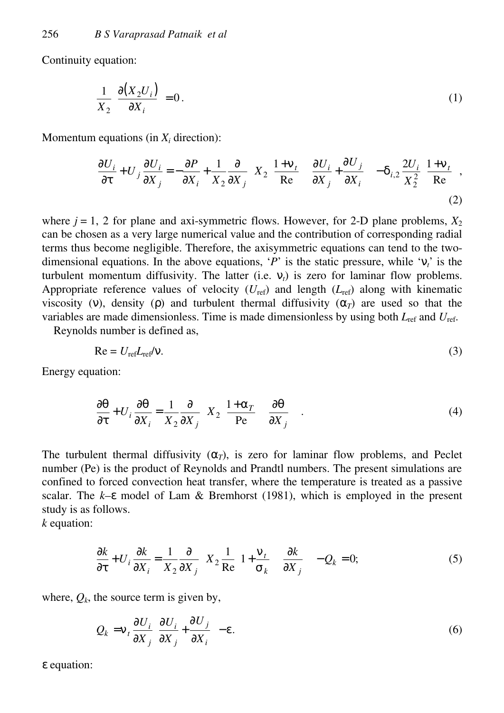Continuity equation:

$$
\frac{1}{X_2} \left[ \frac{\partial (X_2 U_i)}{\partial X_i} \right] = 0 \,. \tag{1}
$$

Momentum equations (in  $X_i$  direction):

$$
\frac{\partial U_i}{\partial \tau} + U_j \frac{\partial U_i}{\partial X_j} = -\frac{\partial P}{\partial X_i} + \frac{1}{X_2} \frac{\partial}{\partial X_j} \left[ X_2 \left( \frac{1 + v_t}{\text{Re}} \right) \left( \frac{\partial U_i}{\partial X_j} + \frac{\partial U_j}{\partial X_i} \right) \right] - \delta_{i,2} \frac{2U_i}{X_2^2} \left( \frac{1 + v_t}{\text{Re}} \right),\tag{2}
$$

where  $j = 1, 2$  for plane and axi-symmetric flows. However, for 2-D plane problems,  $X_2$ can be chosen as a very large numerical value and the contribution of corresponding radial terms thus become negligible. Therefore, the axisymmetric equations can tend to the twodimensional equations. In the above equations, '*P*' is the static pressure, while ' $v_t$ ' is the turbulent momentum diffusivity. The latter (i.e.  $v_t$ ) is zero for laminar flow problems. Appropriate reference values of velocity  $(U_{\text{ref}})$  and length  $(L_{\text{ref}})$  along with kinematic viscosity (ν), density (ρ) and turbulent thermal diffusivity  $(α<sub>T</sub>)$  are used so that the variables are made dimensionless. Time is made dimensionless by using both  $L_{ref}$  and  $U_{ref}$ .

Reynolds number is defined as,

$$
\text{Re} = U_{\text{ref}} L_{\text{ref}} / \mathsf{v}. \tag{3}
$$

Energy equation:

$$
\frac{\partial \theta}{\partial \tau} + U_i \frac{\partial \theta}{\partial X_i} = \frac{1}{X_2} \frac{\partial}{\partial X_j} \left[ X_2 \left( \frac{1 + \alpha_T}{\text{Pe}} \right) \left( \frac{\partial \theta}{\partial X_j} \right) \right].
$$
 (4)

The turbulent thermal diffusivity  $(\alpha_T)$ , is zero for laminar flow problems, and Peclet number (Pe) is the product of Reynolds and Prandtl numbers. The present simulations are confined to forced convection heat transfer, where the temperature is treated as a passive scalar. The *k*–ε model of Lam & Bremhorst (1981), which is employed in the present study is as follows.

*k* equation:

$$
\frac{\partial k}{\partial \tau} + U_i \frac{\partial k}{\partial X_i} = \frac{1}{X_2} \frac{\partial}{\partial X_j} \left[ X_2 \frac{1}{\text{Re}} \left( 1 + \frac{v_t}{\sigma_k} \right) \left( \frac{\partial k}{\partial X_j} \right) \right] - Q_k = 0; \tag{5}
$$

where,  $Q_k$ , the source term is given by,

$$
Q_k = v_t \frac{\partial U_i}{\partial X_j} \left[ \frac{\partial U_i}{\partial X_j} + \frac{\partial U_j}{\partial X_i} \right] - \varepsilon.
$$
 (6)

ε equation: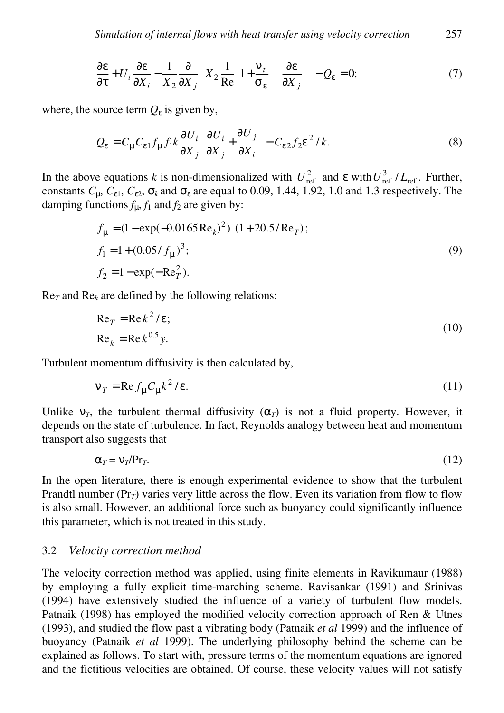$$
\frac{\partial \varepsilon}{\partial \tau} + U_i \frac{\partial \varepsilon}{\partial X_i} - \frac{1}{X_2} \frac{\partial}{\partial X_j} \left[ X_2 \frac{1}{\text{Re}} \left( 1 + \frac{v_t}{\sigma_{\varepsilon}} \right) \left( \frac{\partial \varepsilon}{\partial X_j} \right) \right] - Q_{\varepsilon} = 0; \tag{7}
$$

where, the source term  $Q_{\varepsilon}$  is given by,

$$
Q_{\varepsilon} = C_{\mu} C_{\varepsilon 1} f_{\mu} f_{1} k \frac{\partial U_i}{\partial X_j} \left[ \frac{\partial U_i}{\partial X_j} + \frac{\partial U_j}{\partial X_i} \right] - C_{\varepsilon 2} f_{2} \varepsilon^2 / k. \tag{8}
$$

In the above equations *k* is non-dimensionalized with  $U_{\text{ref}}^2$  and ε with  $U_{\text{ref}}^3$  /  $L_{\text{ref}}$ . Further, constants  $C_{\mu}$ ,  $C_{\varepsilon 1}$ ,  $C_{\varepsilon 2}$ ,  $\sigma_k$  and  $\sigma_{\varepsilon}$  are equal to 0.09, 1.44, 1.92, 1.0 and 1.3 respectively. The damping functions  $f_{\mu}$ ,  $f_1$  and  $f_2$  are given by:

$$
f_{\mu} = (1 - \exp(-0.0165 \text{Re}_k)^2) (1 + 20.5/\text{Re}_T);
$$
  
\n
$$
f_1 = 1 + (0.05/f_{\mu})^3;
$$
  
\n
$$
f_2 = 1 - \exp(-\text{Re}_T^2).
$$
\n(9)

 $Re<sub>T</sub>$  and  $Re<sub>k</sub>$  are defined by the following relations:

$$
ReT = Re k2/\varepsilon;
$$
  
Re<sub>k</sub> = Re k<sup>0.5</sup>y. (10)

Turbulent momentum diffusivity is then calculated by,

$$
v_T = \text{Re} f_\mu C_\mu k^2 / \varepsilon. \tag{11}
$$

Unlike  $v_T$ , the turbulent thermal diffusivity  $(\alpha_T)$  is not a fluid property. However, it depends on the state of turbulence. In fact, Reynolds analogy between heat and momentum transport also suggests that

$$
\alpha_T = \nu_T / \text{Pr}_T. \tag{12}
$$

In the open literature, there is enough experimental evidence to show that the turbulent Prandtl number  $(Pr<sub>T</sub>)$  varies very little across the flow. Even its variation from flow to flow is also small. However, an additional force such as buoyancy could significantly influence this parameter, which is not treated in this study.

#### 3.2 *Velocity correction method*

The velocity correction method was applied, using finite elements in Ravikumaur (1988) by employing a fully explicit time-marching scheme. Ravisankar (1991) and Srinivas (1994) have extensively studied the influence of a variety of turbulent flow models. Patnaik (1998) has employed the modified velocity correction approach of Ren & Utnes (1993), and studied the flow past a vibrating body (Patnaik *et al* 1999) and the influence of buoyancy (Patnaik *et al* 1999). The underlying philosophy behind the scheme can be explained as follows. To start with, pressure terms of the momentum equations are ignored and the fictitious velocities are obtained. Of course, these velocity values will not satisfy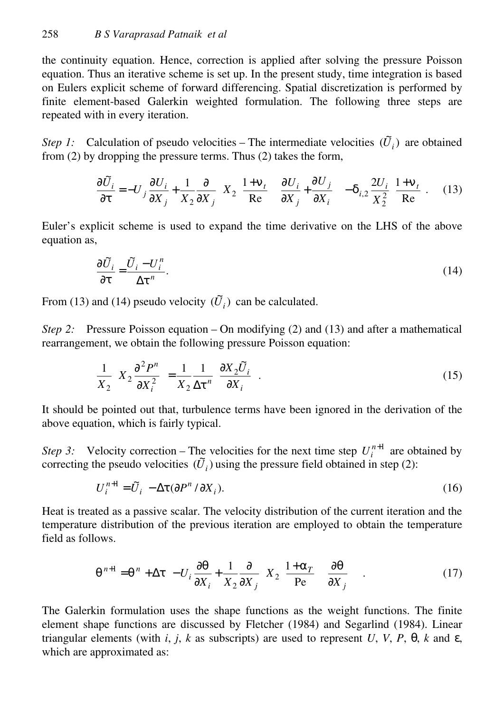the continuity equation. Hence, correction is applied after solving the pressure Poisson equation. Thus an iterative scheme is set up. In the present study, time integration is based on Eulers explicit scheme of forward differencing. Spatial discretization is performed by finite element-based Galerkin weighted formulation. The following three steps are repeated with in every iteration.

*Step 1:* Calculation of pseudo velocities – The intermediate velocities  $(\tilde{U}_i)$  are obtained from  $(2)$  by dropping the pressure terms. Thus  $(2)$  takes the form,

$$
\frac{\partial \tilde{U}_i}{\partial \tau} = -U_j \frac{\partial U_i}{\partial X_j} + \frac{1}{X_2} \frac{\partial}{\partial X_j} \left[ X_2 \left( \frac{1 + v_t}{\text{Re}} \right) \left( \frac{\partial U_i}{\partial X_j} + \frac{\partial U_j}{\partial X_i} \right) \right] - \delta_{i,2} \frac{2U_i}{X_2^2} \left( \frac{1 + v_t}{\text{Re}} \right) \tag{13}
$$

Euler's explicit scheme is used to expand the time derivative on the LHS of the above equation as,

$$
\frac{\partial \widetilde{U}_i}{\partial \tau} = \frac{\widetilde{U}_i - U_i^n}{\Delta \tau^n}.
$$
\n(14)

From (13) and (14) pseudo velocity  $(\tilde{U}_i)$  can be calculated.

*Step 2:* Pressure Poisson equation – On modifying (2) and (13) and after a mathematical rearrangement, we obtain the following pressure Poisson equation:

$$
\frac{1}{X_2} \left[ X_2 \frac{\partial^2 P^n}{\partial X_i^2} \right] = \frac{1}{X_2} \frac{1}{\Delta \tau^n} \left( \frac{\partial X_2 \tilde{U}_i}{\partial X_i} \right).
$$
\n(15)

It should be pointed out that, turbulence terms have been ignored in the derivation of the above equation, which is fairly typical.

*Step 3:* Velocity correction – The velocities for the next time step  $U_i^{n+1}$  are obtained by correcting the pseudo velocities  $(\tilde{U}_i)$  using the pressure field obtained in step (2):

$$
U_i^{n+1} = \tilde{U}_i - \Delta \tau (\partial P^n / \partial X_i). \tag{16}
$$

Heat is treated as a passive scalar. The velocity distribution of the current iteration and the temperature distribution of the previous iteration are employed to obtain the temperature field as follows.

$$
\theta^{n+1} = \theta^n + \Delta \tau \left[ -U_i \frac{\partial \theta}{\partial X_i} + \frac{1}{X_2} \frac{\partial}{\partial X_j} \left[ X_2 \left( \frac{1 + \alpha_T}{\text{Pe}} \right) \left( \frac{\partial \theta}{\partial X_j} \right) \right] \right].
$$
 (17)

The Galerkin formulation uses the shape functions as the weight functions. The finite element shape functions are discussed by Fletcher (1984) and Segarlind (1984). Linear triangular elements (with *i*, *j*, *k* as subscripts) are used to represent *U*, *V*, *P*, θ, *k* and ε, which are approximated as: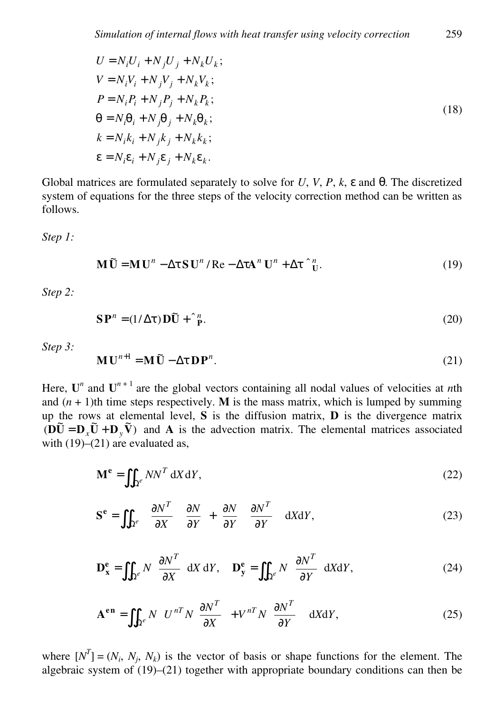$$
U = N_i U_i + N_j U_j + N_k U_k;
$$
  
\n
$$
V = N_i V_i + N_j V_j + N_k V_k;
$$
  
\n
$$
P = N_i P_i + N_j P_j + N_k P_k;
$$
  
\n
$$
\theta = N_i \theta_i + N_j \theta_j + N_k \theta_k;
$$
  
\n
$$
k = N_i k_i + N_j k_j + N_k k_k;
$$
  
\n
$$
\epsilon = N_i \epsilon_i + N_j \epsilon_j + N_k \epsilon_k.
$$
  
\n(18)

Global matrices are formulated separately to solve for *U*, *V*, *P*, *k*, ε and θ. The discretized system of equations for the three steps of the velocity correction method can be written as follows.

*Step 1:*

$$
\mathbf{M}\,\widetilde{\mathbf{U}} = \mathbf{M}\,\mathbf{U}^n - \Delta\tau\,\mathbf{S}\,\mathbf{U}^n / \mathrm{Re} - \Delta\tau\mathbf{A}^n\,\mathbf{U}^n + \Delta\tau\,\widetilde{\mathbf{U}}^n. \tag{19}
$$

*Step 2:*

$$
\mathbf{S}\mathbf{P}^n = (1/\Delta\tau)\mathbf{D}\widetilde{\mathbf{U}} + \mathbf{P}^n.
$$
 (20)

*Step 3:*

$$
\mathbf{M}\mathbf{U}^{n+1} = \mathbf{M}\widetilde{\mathbf{U}} - \Delta \tau \mathbf{D}\mathbf{P}^n.
$$
 (21)

Here,  $U^n$  and  $U^{n+1}$  are the global vectors containing all nodal values of velocities at *n*th and  $(n + 1)$ th time steps respectively. **M** is the mass matrix, which is lumped by summing up the rows at elemental level, **S** is the diffusion matrix, **D** is the divergence matrix  $(\mathbf{D}\tilde{\mathbf{U}} = \mathbf{D}_x\tilde{\mathbf{U}} + \mathbf{D}_y\tilde{\mathbf{V}})$  and **A** is the advection matrix. The elemental matrices associated with  $(19)$ – $(21)$  are evaluated as,

$$
\mathbf{M}^{\mathbf{e}} = \iint_{\Omega^e} NN^T dX dY,
$$
\n(22)

$$
\mathbf{S}^{\mathbf{e}} = \iint_{\Omega^{e}} \left[ \left( \frac{\partial N^{T}}{\partial X} \right) \left( \frac{\partial N}{\partial Y} \right) + \left( \frac{\partial N}{\partial Y} \right) \left( \frac{\partial N^{T}}{\partial Y} \right) \right] dX dY, \tag{23}
$$

$$
\mathbf{D}_{\mathbf{x}}^{\mathbf{e}} = \iint_{\Omega^e} N \left( \frac{\partial N^T}{\partial X} \right) dX \, dY, \quad \mathbf{D}_{\mathbf{y}}^{\mathbf{e}} = \iint_{\Omega^e} N \left( \frac{\partial N^T}{\partial Y} \right) dX \, dY,\tag{24}
$$

$$
\mathbf{A}^{\mathbf{en}} = \iint_{\Omega^e} N \left[ U^{nT} N \left( \frac{\partial N^T}{\partial X} \right) + V^{nT} N \left( \frac{\partial N^T}{\partial Y} \right) \right] dX dY, \tag{25}
$$

where  $[N^T] = (N_i, N_j, N_k)$  is the vector of basis or shape functions for the element. The algebraic system of (19)–(21) together with appropriate boundary conditions can then be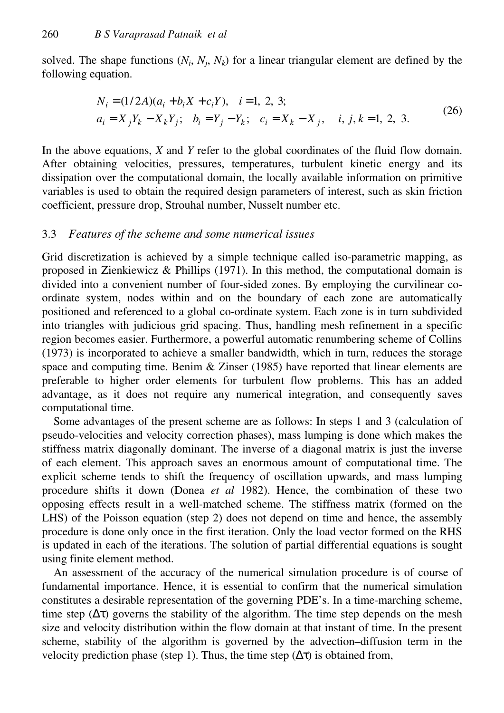solved. The shape functions  $(N_i, N_j, N_k)$  for a linear triangular element are defined by the following equation.

$$
N_i = (1/2A)(a_i + b_i X + c_i Y), \quad i = 1, 2, 3;
$$
  
\n
$$
a_i = X_j Y_k - X_k Y_j; \quad b_i = Y_j - Y_k; \quad c_i = X_k - X_j, \quad i, j, k = 1, 2, 3.
$$
 (26)

In the above equations, *X* and *Y* refer to the global coordinates of the fluid flow domain. After obtaining velocities, pressures, temperatures, turbulent kinetic energy and its dissipation over the computational domain, the locally available information on primitive variables is used to obtain the required design parameters of interest, such as skin friction coefficient, pressure drop, Strouhal number, Nusselt number etc.

### 3.3 *Features of the scheme and some numerical issues*

Grid discretization is achieved by a simple technique called iso-parametric mapping, as proposed in Zienkiewicz & Phillips (1971). In this method, the computational domain is divided into a convenient number of four-sided zones. By employing the curvilinear coordinate system, nodes within and on the boundary of each zone are automatically positioned and referenced to a global co-ordinate system. Each zone is in turn subdivided into triangles with judicious grid spacing. Thus, handling mesh refinement in a specific region becomes easier. Furthermore, a powerful automatic renumbering scheme of Collins (1973) is incorporated to achieve a smaller bandwidth, which in turn, reduces the storage space and computing time. Benim  $\&$  Zinser (1985) have reported that linear elements are preferable to higher order elements for turbulent flow problems. This has an added advantage, as it does not require any numerical integration, and consequently saves computational time.

Some advantages of the present scheme are as follows: In steps 1 and 3 (calculation of pseudo-velocities and velocity correction phases), mass lumping is done which makes the stiffness matrix diagonally dominant. The inverse of a diagonal matrix is just the inverse of each element. This approach saves an enormous amount of computational time. The explicit scheme tends to shift the frequency of oscillation upwards, and mass lumping procedure shifts it down (Donea *et al* 1982). Hence, the combination of these two opposing effects result in a well-matched scheme. The stiffness matrix (formed on the LHS) of the Poisson equation (step 2) does not depend on time and hence, the assembly procedure is done only once in the first iteration. Only the load vector formed on the RHS is updated in each of the iterations. The solution of partial differential equations is sought using finite element method.

An assessment of the accuracy of the numerical simulation procedure is of course of fundamental importance. Hence, it is essential to confirm that the numerical simulation constitutes a desirable representation of the governing PDE's. In a time-marching scheme, time step  $(\Delta \tau)$  governs the stability of the algorithm. The time step depends on the mesh size and velocity distribution within the flow domain at that instant of time. In the present scheme, stability of the algorithm is governed by the advection–diffusion term in the velocity prediction phase (step 1). Thus, the time step  $(\Delta \tau)$  is obtained from,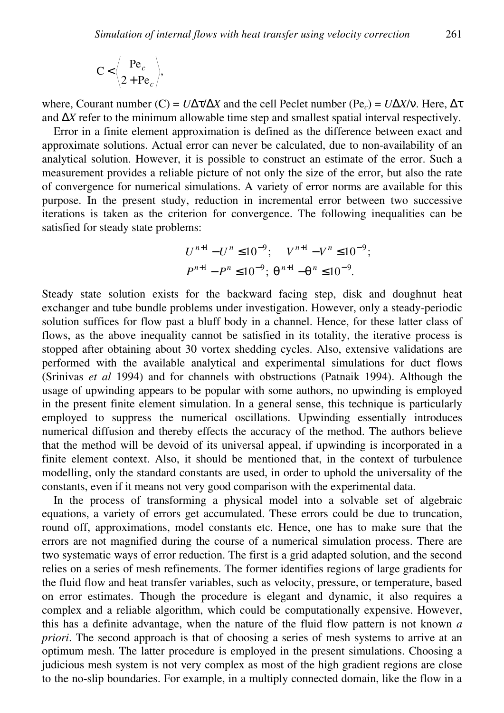$$
C < \left\langle \frac{Pe_c}{2 + Pe_c} \right\rangle,
$$

where, Courant number (C) = *U*∆τ/∆*X* and the cell Peclet number (Pe*c*) = *U*∆*X*/ν. Here, ∆τ and ∆*X* refer to the minimum allowable time step and smallest spatial interval respectively.

Error in a finite element approximation is defined as the difference between exact and approximate solutions. Actual error can never be calculated, due to non-availability of an analytical solution. However, it is possible to construct an estimate of the error. Such a measurement provides a reliable picture of not only the size of the error, but also the rate of convergence for numerical simulations. A variety of error norms are available for this purpose. In the present study, reduction in incremental error between two successive iterations is taken as the criterion for convergence. The following inequalities can be satisfied for steady state problems:

$$
U^{n+1} - U^n \le 10^{-9}; \quad V^{n+1} - V^n \le 10^{-9};
$$
  

$$
P^{n+1} - P^n \le 10^{-9}; \quad \theta^{n+1} - \theta^n \le 10^{-9}.
$$

Steady state solution exists for the backward facing step, disk and doughnut heat exchanger and tube bundle problems under investigation. However, only a steady-periodic solution suffices for flow past a bluff body in a channel. Hence, for these latter class of flows, as the above inequality cannot be satisfied in its totality, the iterative process is stopped after obtaining about 30 vortex shedding cycles. Also, extensive validations are performed with the available analytical and experimental simulations for duct flows (Srinivas *et al* 1994) and for channels with obstructions (Patnaik 1994). Although the usage of upwinding appears to be popular with some authors, no upwinding is employed in the present finite element simulation. In a general sense, this technique is particularly employed to suppress the numerical oscillations. Upwinding essentially introduces numerical diffusion and thereby effects the accuracy of the method. The authors believe that the method will be devoid of its universal appeal, if upwinding is incorporated in a finite element context. Also, it should be mentioned that, in the context of turbulence modelling, only the standard constants are used, in order to uphold the universality of the constants, even if it means not very good comparison with the experimental data.

In the process of transforming a physical model into a solvable set of algebraic equations, a variety of errors get accumulated. These errors could be due to truncation, round off, approximations, model constants etc. Hence, one has to make sure that the errors are not magnified during the course of a numerical simulation process. There are two systematic ways of error reduction. The first is a grid adapted solution, and the second relies on a series of mesh refinements. The former identifies regions of large gradients for the fluid flow and heat transfer variables, such as velocity, pressure, or temperature, based on error estimates. Though the procedure is elegant and dynamic, it also requires a complex and a reliable algorithm, which could be computationally expensive. However, this has a definite advantage, when the nature of the fluid flow pattern is not known *a priori*. The second approach is that of choosing a series of mesh systems to arrive at an optimum mesh. The latter procedure is employed in the present simulations. Choosing a judicious mesh system is not very complex as most of the high gradient regions are close to the no-slip boundaries. For example, in a multiply connected domain, like the flow in a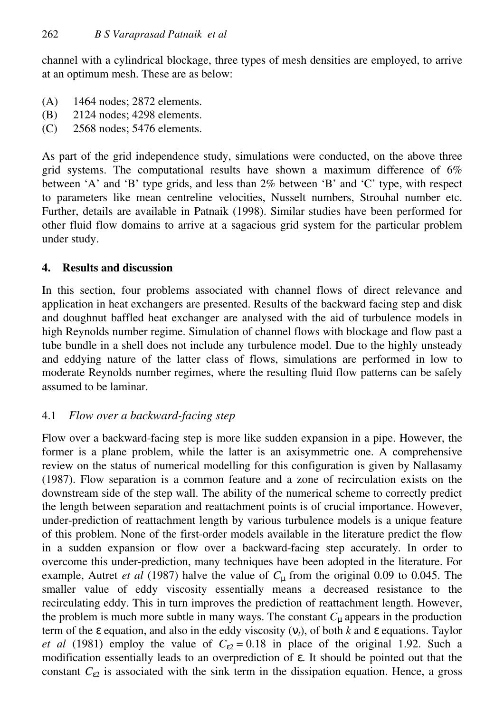channel with a cylindrical blockage, three types of mesh densities are employed, to arrive at an optimum mesh. These are as below:

- (A) 1464 nodes; 2872 elements.
- (B) 2124 nodes; 4298 elements.
- (C) 2568 nodes; 5476 elements.

As part of the grid independence study, simulations were conducted, on the above three grid systems. The computational results have shown a maximum difference of 6% between 'A' and 'B' type grids, and less than 2% between 'B' and 'C' type, with respect to parameters like mean centreline velocities, Nusselt numbers, Strouhal number etc. Further, details are available in Patnaik (1998). Similar studies have been performed for other fluid flow domains to arrive at a sagacious grid system for the particular problem under study.

# **4. Results and discussion**

In this section, four problems associated with channel flows of direct relevance and application in heat exchangers are presented. Results of the backward facing step and disk and doughnut baffled heat exchanger are analysed with the aid of turbulence models in high Reynolds number regime. Simulation of channel flows with blockage and flow past a tube bundle in a shell does not include any turbulence model. Due to the highly unsteady and eddying nature of the latter class of flows, simulations are performed in low to moderate Reynolds number regimes, where the resulting fluid flow patterns can be safely assumed to be laminar.

# 4.1 *Flow over a backward-facing step*

Flow over a backward-facing step is more like sudden expansion in a pipe. However, the former is a plane problem, while the latter is an axisymmetric one. A comprehensive review on the status of numerical modelling for this configuration is given by Nallasamy (1987). Flow separation is a common feature and a zone of recirculation exists on the downstream side of the step wall. The ability of the numerical scheme to correctly predict the length between separation and reattachment points is of crucial importance. However, under-prediction of reattachment length by various turbulence models is a unique feature of this problem. None of the first-order models available in the literature predict the flow in a sudden expansion or flow over a backward-facing step accurately. In order to overcome this under-prediction, many techniques have been adopted in the literature. For example, Autret *et al* (1987) halve the value of  $C_{\mu}$  from the original 0.09 to 0.045. The smaller value of eddy viscosity essentially means a decreased resistance to the recirculating eddy. This in turn improves the prediction of reattachment length. However, the problem is much more subtle in many ways. The constant  $C<sub>u</sub>$  appears in the production term of the ε equation, and also in the eddy viscosity (ν*t*), of both *k* and ε equations. Taylor *et al* (1981) employ the value of  $C_{\epsilon 2} = 0.18$  in place of the original 1.92. Such a modification essentially leads to an overprediction of ε. It should be pointed out that the constant  $C_{\epsilon_2}$  is associated with the sink term in the dissipation equation. Hence, a gross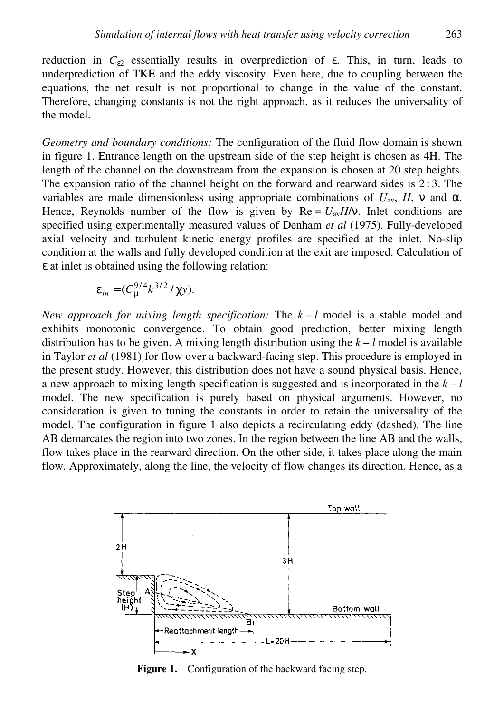reduction in  $C_{\epsilon 2}$  essentially results in overprediction of  $\epsilon$ . This, in turn, leads to underprediction of TKE and the eddy viscosity. Even here, due to coupling between the equations, the net result is not proportional to change in the value of the constant. Therefore, changing constants is not the right approach, as it reduces the universality of the model.

*Geometry and boundary conditions:* The configuration of the fluid flow domain is shown in figure 1. Entrance length on the upstream side of the step height is chosen as 4H. The length of the channel on the downstream from the expansion is chosen at 20 step heights. The expansion ratio of the channel height on the forward and rearward sides is  $2:3$ . The variables are made dimensionless using appropriate combinations of *U*av, *H*, ν and α. Hence, Reynolds number of the flow is given by  $Re = U_{av}H/v$ . Inlet conditions are specified using experimentally measured values of Denham *et al* (1975). Fully-developed axial velocity and turbulent kinetic energy profiles are specified at the inlet. No-slip condition at the walls and fully developed condition at the exit are imposed. Calculation of ε at inlet is obtained using the following relation:

$$
\varepsilon_{in} = (C_{\mu}^{9/4} k^{3/2} / \chi y).
$$

*New approach for mixing length specification:* The *k* – *l* model is a stable model and exhibits monotonic convergence. To obtain good prediction, better mixing length distribution has to be given. A mixing length distribution using the  $k - l$  model is available in Taylor *et al* (1981) for flow over a backward-facing step. This procedure is employed in the present study. However, this distribution does not have a sound physical basis. Hence, a new approach to mixing length specification is suggested and is incorporated in the  $k - l$ model. The new specification is purely based on physical arguments. However, no consideration is given to tuning the constants in order to retain the universality of the model. The configuration in figure 1 also depicts a recirculating eddy (dashed). The line AB demarcates the region into two zones. In the region between the line AB and the walls, flow takes place in the rearward direction. On the other side, it takes place along the main flow. Approximately, along the line, the velocity of flow changes its direction. Hence, as a



**Figure 1.** Configuration of the backward facing step.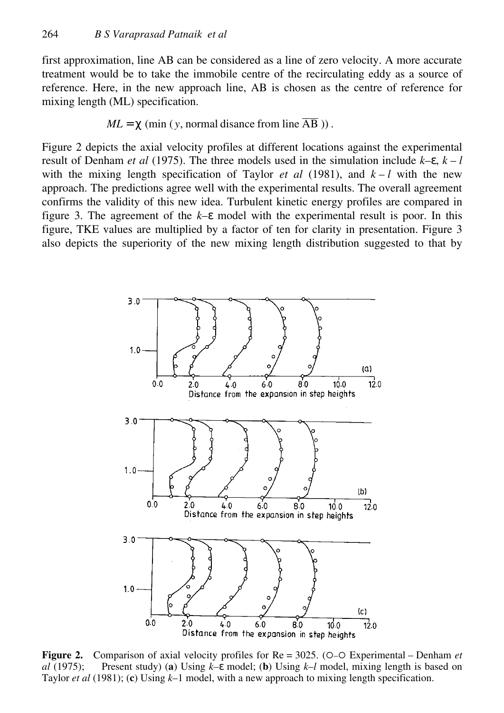first approximation, line AB can be considered as a line of zero velocity. A more accurate treatment would be to take the immobile centre of the recirculating eddy as a source of reference. Here, in the new approach line, AB is chosen as the centre of reference for mixing length (ML) specification.

#### $ML = \chi$  (min (*y*, normal disance from line  $\overline{AB}$  )).

Figure 2 depicts the axial velocity profiles at different locations against the experimental result of Denham *et al* (1975). The three models used in the simulation include  $k-\varepsilon$ ,  $k-l$ with the mixing length specification of Taylor *et al* (1981), and  $k-l$  with the new approach. The predictions agree well with the experimental results. The overall agreement confirms the validity of this new idea. Turbulent kinetic energy profiles are compared in figure 3. The agreement of the *k*–ε model with the experimental result is poor. In this figure, TKE values are multiplied by a factor of ten for clarity in presentation. Figure 3 also depicts the superiority of the new mixing length distribution suggested to that by



**Figure 2.** Comparison of axial velocity profiles for  $Re = 3025$ . ( $O-O$  Experimental – Denham *et al* (1975); Present study) (**a**) Using *k–*ε model; (**b**) Using *k*–*l* model, mixing length is based on Taylor *et al* (1981); (**c**) Using *k*–1 model, with a new approach to mixing length specification.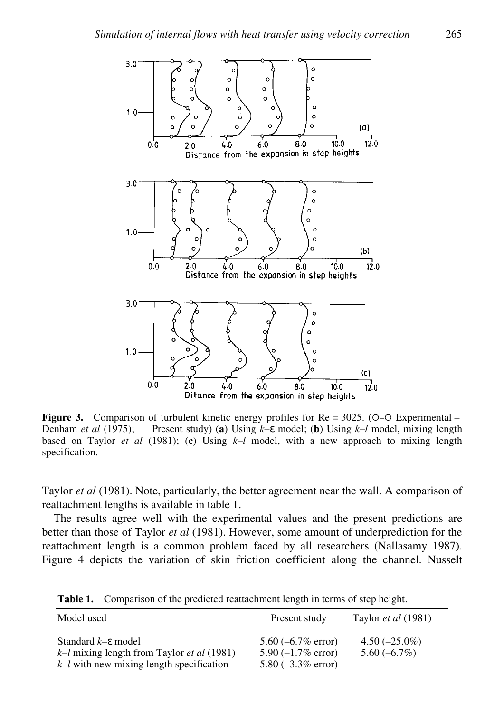

**Figure 3.** Comparison of turbulent kinetic energy profiles for  $Re = 3025$ . ( $O-O$  Experimental – Denham *et al* (1975); Present study) (**a**) Using *k*–ε model; (**b**) Using *k*–*l* model, mixing length based on Taylor *et al* (1981); (**c**) Using *k*–*l* model, with a new approach to mixing length specification.

Taylor *et al* (1981). Note, particularly, the better agreement near the wall. A comparison of reattachment lengths is available in table 1.

The results agree well with the experimental values and the present predictions are better than those of Taylor *et al* (1981). However, some amount of underprediction for the reattachment length is a common problem faced by all researchers (Nallasamy 1987). Figure 4 depicts the variation of skin friction coefficient along the channel. Nusselt

| Model used                                                                                                                              | Present study                                                           | Taylor <i>et al</i> (1981)        |
|-----------------------------------------------------------------------------------------------------------------------------------------|-------------------------------------------------------------------------|-----------------------------------|
| Standard $k$ – $\varepsilon$ model<br>$k-l$ mixing length from Taylor <i>et al</i> (1981)<br>$k-l$ with new mixing length specification | 5.60 $(-6.7\%$ error)<br>5.90 $(-1.7\%$ error)<br>5.80 $(-3.3\%$ error) | $4.50(-25.0\%)$<br>$5.60(-6.7\%)$ |

**Table 1.** Comparison of the predicted reattachment length in terms of step height.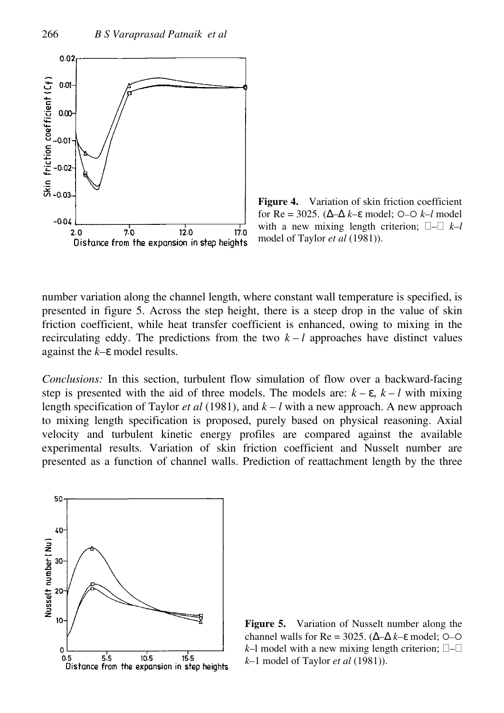

**Figure 4.** Variation of skin friction coefficient for  $Re = 3025$ . ( $\Delta - \Delta k$ – $\varepsilon$  model;  $\odot$ – $\odot$   $k$ –*l* model with a new mixing length criterion;  $\Box$ - $\Box$   $k-l$ model of Taylor *et al* (1981)).

number variation along the channel length, where constant wall temperature is specified, is presented in figure 5. Across the step height, there is a steep drop in the value of skin friction coefficient, while heat transfer coefficient is enhanced, owing to mixing in the recirculating eddy. The predictions from the two  $k - l$  approaches have distinct values against the *k*–ε model results.

*Conclusions:* In this section, turbulent flow simulation of flow over a backward-facing step is presented with the aid of three models. The models are:  $k - \varepsilon$ ,  $k - l$  with mixing length specification of Taylor *et al* (1981), and  $k - l$  with a new approach. A new approach to mixing length specification is proposed, purely based on physical reasoning. Axial velocity and turbulent kinetic energy profiles are compared against the available experimental results. Variation of skin friction coefficient and Nusselt number are presented as a function of channel walls. Prediction of reattachment length by the three



**Figure 5.** Variation of Nusselt number along the channel walls for  $Re = 3025$ . ( $\Delta - \Delta k$ –ε model: O–O  $k-1$  model with a new mixing length criterion;  $\Box$ *k*–1 model of Taylor *et al* (1981)).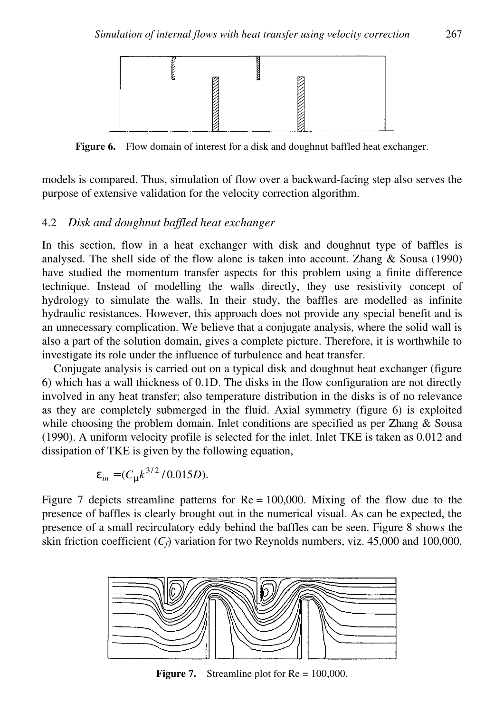

**Figure 6.** Flow domain of interest for a disk and doughnut baffled heat exchanger.

models is compared. Thus, simulation of flow over a backward-facing step also serves the purpose of extensive validation for the velocity correction algorithm.

### 4.2 *Disk and doughnut baffled heat exchanger*

In this section, flow in a heat exchanger with disk and doughnut type of baffles is analysed. The shell side of the flow alone is taken into account. Zhang  $\&$  Sousa (1990) have studied the momentum transfer aspects for this problem using a finite difference technique. Instead of modelling the walls directly, they use resistivity concept of hydrology to simulate the walls. In their study, the baffles are modelled as infinite hydraulic resistances. However, this approach does not provide any special benefit and is an unnecessary complication. We believe that a conjugate analysis, where the solid wall is also a part of the solution domain, gives a complete picture. Therefore, it is worthwhile to investigate its role under the influence of turbulence and heat transfer.

Conjugate analysis is carried out on a typical disk and doughnut heat exchanger (figure 6) which has a wall thickness of 0.1D. The disks in the flow configuration are not directly involved in any heat transfer; also temperature distribution in the disks is of no relevance as they are completely submerged in the fluid. Axial symmetry (figure 6) is exploited while choosing the problem domain. Inlet conditions are specified as per Zhang & Sousa (1990). A uniform velocity profile is selected for the inlet. Inlet TKE is taken as 0.012 and dissipation of TKE is given by the following equation,

$$
\varepsilon_{in} = (C_{\mu} k^{3/2} / 0.015D).
$$

Figure 7 depicts streamline patterns for  $Re = 100,000$ . Mixing of the flow due to the presence of baffles is clearly brought out in the numerical visual. As can be expected, the presence of a small recirculatory eddy behind the baffles can be seen. Figure 8 shows the skin friction coefficient  $(C_f)$  variation for two Reynolds numbers, viz. 45,000 and 100,000.



**Figure 7.** Streamline plot for Re = 100,000.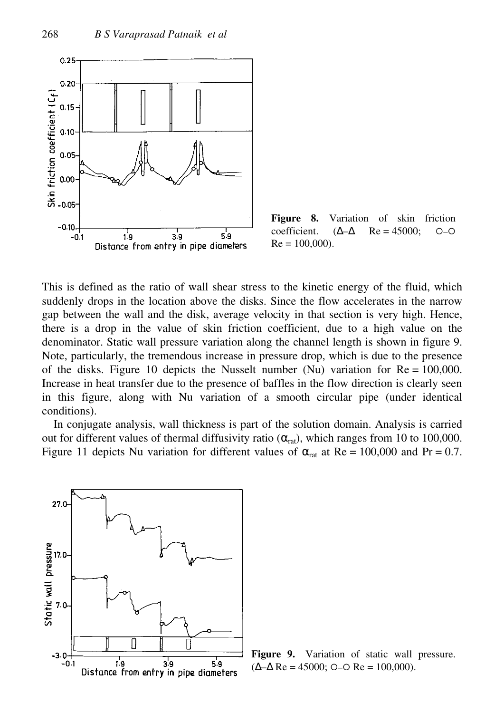

**Figure 8.** Variation of skin friction coefficient.  $(\Delta - \Delta \text{ Re} = 45000; \text{ O}-\text{O}$  $Re = 100,000$ .

This is defined as the ratio of wall shear stress to the kinetic energy of the fluid, which suddenly drops in the location above the disks. Since the flow accelerates in the narrow gap between the wall and the disk, average velocity in that section is very high. Hence, there is a drop in the value of skin friction coefficient, due to a high value on the denominator. Static wall pressure variation along the channel length is shown in figure 9. Note, particularly, the tremendous increase in pressure drop, which is due to the presence of the disks. Figure 10 depicts the Nusselt number (Nu) variation for  $Re = 100,000$ . Increase in heat transfer due to the presence of baffles in the flow direction is clearly seen in this figure, along with Nu variation of a smooth circular pipe (under identical conditions).

In conjugate analysis, wall thickness is part of the solution domain. Analysis is carried out for different values of thermal diffusivity ratio ( $\alpha_{rat}$ ), which ranges from 10 to 100,000. Figure 11 depicts Nu variation for different values of  $\alpha_{\text{rat}}$  at Re = 100,000 and Pr = 0.7.



**Figure 9.** Variation of static wall pressure.  $(\Delta-\Delta \text{ Re } = 45000; \text{ O } - \text{ O } \text{ Re } = 100,000).$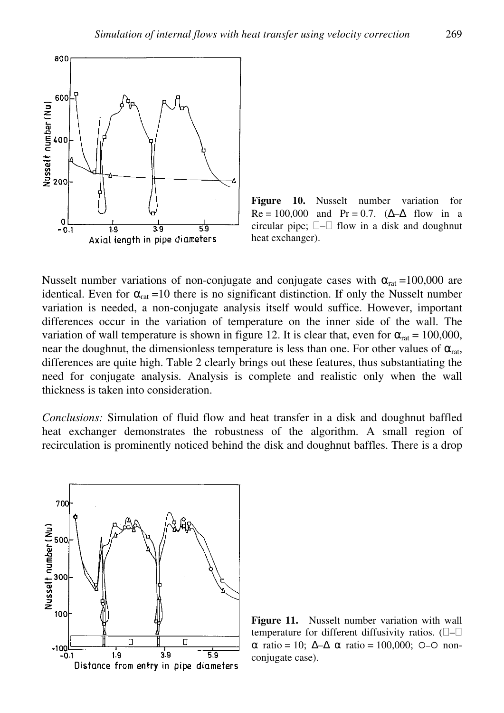

**Figure 10.** Nusselt number variation for  $Re = 100,000$  and  $Pr = 0.7$ . ( $\Delta - \Delta$  flow in a circular pipe;  $\Box$  flow in a disk and doughnut heat exchanger).

Nusselt number variations of non-conjugate and conjugate cases with  $\alpha_{\text{rad}} = 100,000$  are identical. Even for  $\alpha_{\text{rat}} = 10$  there is no significant distinction. If only the Nusselt number variation is needed, a non-conjugate analysis itself would suffice. However, important differences occur in the variation of temperature on the inner side of the wall. The variation of wall temperature is shown in figure 12. It is clear that, even for  $\alpha_{\text{rat}} = 100,000$ , near the doughnut, the dimensionless temperature is less than one. For other values of  $\alpha_{\text{rat}}$ , differences are quite high. Table 2 clearly brings out these features, thus substantiating the need for conjugate analysis. Analysis is complete and realistic only when the wall thickness is taken into consideration.

*Conclusions:* Simulation of fluid flow and heat transfer in a disk and doughnut baffled heat exchanger demonstrates the robustness of the algorithm. A small region of recirculation is prominently noticed behind the disk and doughnut baffles. There is a drop



**Figure 11.** Nusselt number variation with wall temperature for different diffusivity ratios.  $(\Box - \Box)$  $\alpha$  ratio = 10;  $\Delta-\Delta$   $\alpha$  ratio = 100,000;  $\circ$ – $\circ$  nonconjugate case).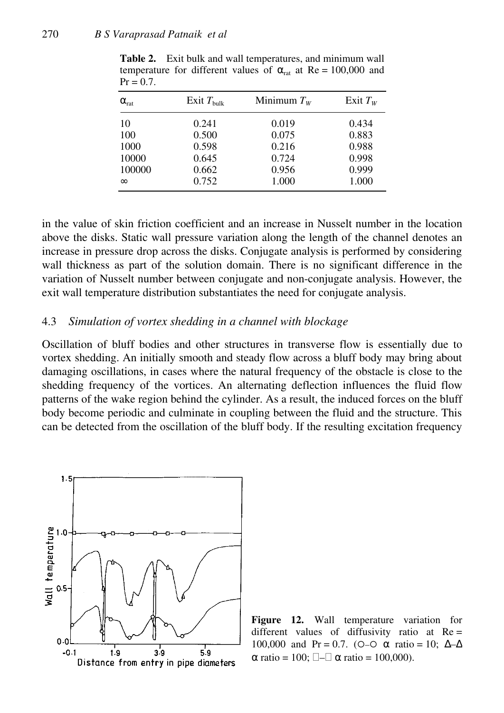| $\alpha_{\text{rat}}$ | Exit $T_{\text{bulk}}$ | Minimum $T_w$ | Exit $T_w$ |
|-----------------------|------------------------|---------------|------------|
| 10                    | 0.241                  | 0.019         | 0.434      |
| 100                   | 0.500                  | 0.075         | 0.883      |
| 1000                  | 0.598                  | 0.216         | 0.988      |
| 10000                 | 0.645                  | 0.724         | 0.998      |
| 100000                | 0.662                  | 0.956         | 0.999      |
| $\infty$              | 0.752                  | 1.000         | 1.000      |

**Table 2.** Exit bulk and wall temperatures, and minimum wall temperature for different values of  $\alpha_{\text{rat}}$  at Re = 100,000 and  $Pr = 0.7$ .

in the value of skin friction coefficient and an increase in Nusselt number in the location above the disks. Static wall pressure variation along the length of the channel denotes an increase in pressure drop across the disks. Conjugate analysis is performed by considering wall thickness as part of the solution domain. There is no significant difference in the variation of Nusselt number between conjugate and non-conjugate analysis. However, the exit wall temperature distribution substantiates the need for conjugate analysis.

### 4.3 *Simulation of vortex shedding in a channel with blockage*

Oscillation of bluff bodies and other structures in transverse flow is essentially due to vortex shedding. An initially smooth and steady flow across a bluff body may bring about damaging oscillations, in cases where the natural frequency of the obstacle is close to the shedding frequency of the vortices. An alternating deflection influences the fluid flow patterns of the wake region behind the cylinder. As a result, the induced forces on the bluff body become periodic and culminate in coupling between the fluid and the structure. This can be detected from the oscillation of the bluff body. If the resulting excitation frequency



**Figure 12.** Wall temperature variation for different values of diffusivity ratio at Re = 100,000 and Pr = 0.7. ( $\circ$ – $\circ$   $\alpha$  ratio = 10;  $\Delta$ – $\Delta$  $\alpha$  ratio = 100;  $\Box$  $\Box$   $\alpha$  ratio = 100,000).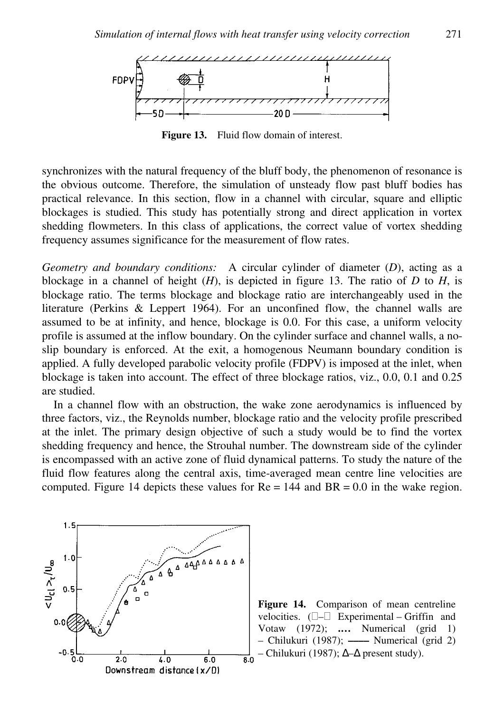

Figure 13. Fluid flow domain of interest.

synchronizes with the natural frequency of the bluff body, the phenomenon of resonance is the obvious outcome. Therefore, the simulation of unsteady flow past bluff bodies has practical relevance. In this section, flow in a channel with circular, square and elliptic blockages is studied. This study has potentially strong and direct application in vortex shedding flowmeters. In this class of applications, the correct value of vortex shedding frequency assumes significance for the measurement of flow rates.

*Geometry and boundary conditions:* A circular cylinder of diameter (*D*), acting as a blockage in a channel of height  $(H)$ , is depicted in figure 13. The ratio of *D* to *H*, is blockage ratio. The terms blockage and blockage ratio are interchangeably used in the literature (Perkins & Leppert 1964). For an unconfined flow, the channel walls are assumed to be at infinity, and hence, blockage is 0.0. For this case, a uniform velocity profile is assumed at the inflow boundary. On the cylinder surface and channel walls, a noslip boundary is enforced. At the exit, a homogenous Neumann boundary condition is applied. A fully developed parabolic velocity profile (FDPV) is imposed at the inlet, when blockage is taken into account. The effect of three blockage ratios, viz., 0.0, 0.1 and 0.25 are studied.

In a channel flow with an obstruction, the wake zone aerodynamics is influenced by three factors, viz., the Reynolds number, blockage ratio and the velocity profile prescribed at the inlet. The primary design objective of such a study would be to find the vortex shedding frequency and hence, the Strouhal number. The downstream side of the cylinder is encompassed with an active zone of fluid dynamical patterns. To study the nature of the fluid flow features along the central axis, time-averaged mean centre line velocities are computed. Figure 14 depicts these values for  $Re = 144$  and  $BR = 0.0$  in the wake region.



**Figure 14.** Comparison of mean centreline velocities.  $(\Box - \Box$  Experimental – Griffin and Votaw (1972); **.…** Numerical (grid 1) – Chilukuri (1987); **––––** Numerical (grid 2) – Chilukuri (1987); ∆–∆ present study).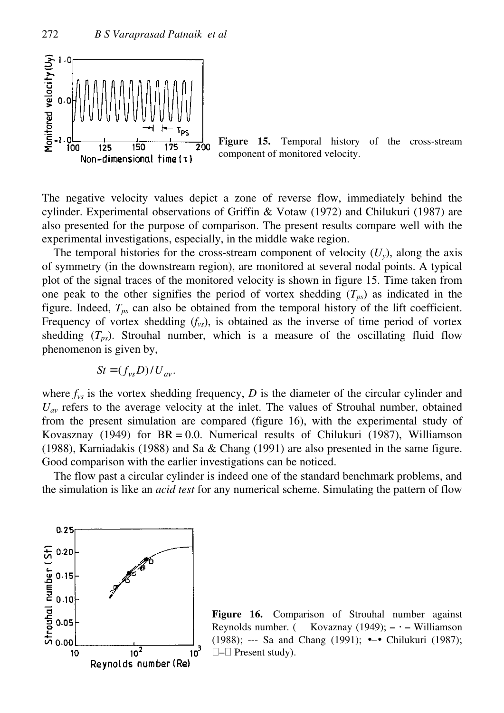

**Figure 15.** Temporal history of the cross-stream component of monitored velocity.

The negative velocity values depict a zone of reverse flow, immediately behind the cylinder. Experimental observations of Griffin & Votaw (1972) and Chilukuri (1987) are also presented for the purpose of comparison. The present results compare well with the experimental investigations, especially, in the middle wake region.

The temporal histories for the cross-stream component of velocity  $(U_{\nu})$ , along the axis of symmetry (in the downstream region), are monitored at several nodal points. A typical plot of the signal traces of the monitored velocity is shown in figure 15. Time taken from one peak to the other signifies the period of vortex shedding  $(T_{ps})$  as indicated in the figure. Indeed, *Tps* can also be obtained from the temporal history of the lift coefficient. Frequency of vortex shedding (*fvs*), is obtained as the inverse of time period of vortex shedding  $(T_{ps})$ . Strouhal number, which is a measure of the oscillating fluid flow phenomenon is given by,

$$
St = (f_{\nu s} D) / U_{\alpha \nu}.
$$

where  $f_{\nu s}$  is the vortex shedding frequency,  $D$  is the diameter of the circular cylinder and  $U_{\alpha\nu}$  refers to the average velocity at the inlet. The values of Strouhal number, obtained from the present simulation are compared (figure 16), with the experimental study of Kovasznay (1949) for  $BR = 0.0$ . Numerical results of Chilukuri (1987), Williamson (1988), Karniadakis (1988) and Sa & Chang (1991) are also presented in the same figure. Good comparison with the earlier investigations can be noticed.

The flow past a circular cylinder is indeed one of the standard benchmark problems, and the simulation is like an *acid test* for any numerical scheme. Simulating the pattern of flow



**Figure 16.** Comparison of Strouhal number against Reynolds number. ( **— Kovaznay** (1949); **− ⋅ – Williamson** (1988); --- Sa and Chang (1991); •–• Chilukuri (1987);  $\Box$  Present study).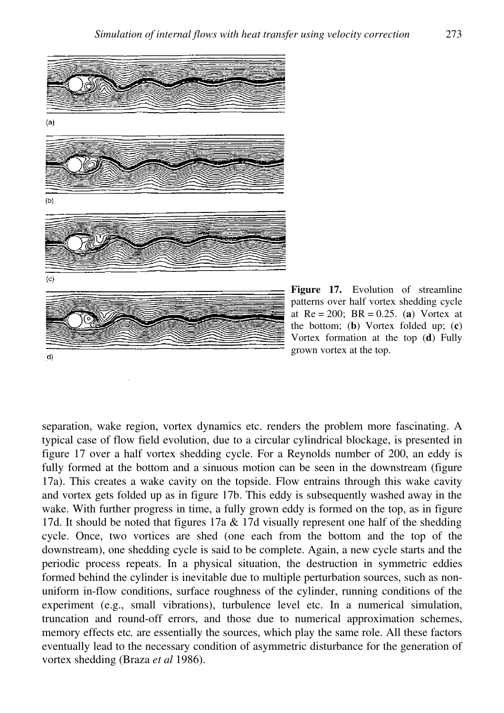

**Figure 17.** Evolution of streamline patterns over half vortex shedding cycle at Re = 200; BR = 0.25. (**a**) Vortex at the bottom; (**b**) Vortex folded up; (**c**) Vortex formation at the top (**d**) Fully grown vortex at the top.

separation, wake region, vortex dynamics etc. renders the problem more fascinating. A typical case of flow field evolution, due to a circular cylindrical blockage, is presented in figure 17 over a half vortex shedding cycle. For a Reynolds number of 200, an eddy is fully formed at the bottom and a sinuous motion can be seen in the downstream (figure 17a). This creates a wake cavity on the topside. Flow entrains through this wake cavity and vortex gets folded up as in figure 17b. This eddy is subsequently washed away in the wake. With further progress in time, a fully grown eddy is formed on the top, as in figure 17d. It should be noted that figures 17a  $&$  17d visually represent one half of the shedding cycle. Once, two vortices are shed (one each from the bottom and the top of the downstream), one shedding cycle is said to be complete. Again, a new cycle starts and the periodic process repeats. In a physical situation, the destruction in symmetric eddies formed behind the cylinder is inevitable due to multiple perturbation sources, such as nonuniform in-flow conditions, surface roughness of the cylinder, running conditions of the experiment (e.g., small vibrations), turbulence level etc. In a numerical simulation, truncation and round-off errors, and those due to numerical approximation schemes, memory effects etc*.* are essentially the sources, which play the same role. All these factors eventually lead to the necessary condition of asymmetric disturbance for the generation of vortex shedding (Braza *et al* 1986).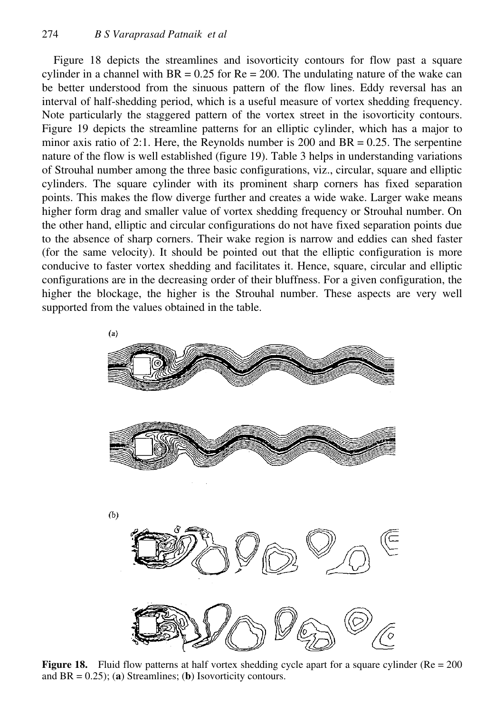Figure 18 depicts the streamlines and isovorticity contours for flow past a square cylinder in a channel with  $BR = 0.25$  for  $Re = 200$ . The undulating nature of the wake can be better understood from the sinuous pattern of the flow lines. Eddy reversal has an interval of half-shedding period, which is a useful measure of vortex shedding frequency. Note particularly the staggered pattern of the vortex street in the isovorticity contours. Figure 19 depicts the streamline patterns for an elliptic cylinder, which has a major to minor axis ratio of 2:1. Here, the Reynolds number is 200 and  $BR = 0.25$ . The serpentine nature of the flow is well established (figure 19). Table 3 helps in understanding variations of Strouhal number among the three basic configurations, viz., circular, square and elliptic cylinders. The square cylinder with its prominent sharp corners has fixed separation points. This makes the flow diverge further and creates a wide wake. Larger wake means higher form drag and smaller value of vortex shedding frequency or Strouhal number. On the other hand, elliptic and circular configurations do not have fixed separation points due to the absence of sharp corners. Their wake region is narrow and eddies can shed faster (for the same velocity). It should be pointed out that the elliptic configuration is more conducive to faster vortex shedding and facilitates it. Hence, square, circular and elliptic configurations are in the decreasing order of their bluffness. For a given configuration, the higher the blockage, the higher is the Strouhal number. These aspects are very well supported from the values obtained in the table.



**Figure 18.** Fluid flow patterns at half vortex shedding cycle apart for a square cylinder ( $Re = 200$ ) and BR = 0.25); (**a**) Streamlines; (**b**) Isovorticity contours.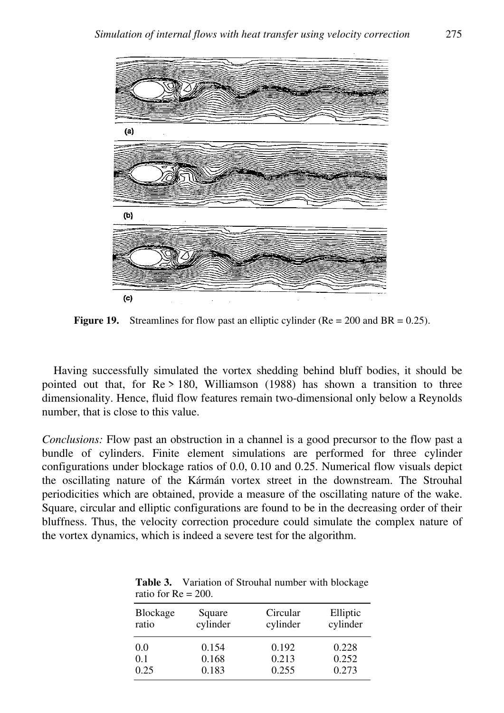

**Figure 19.** Streamlines for flow past an elliptic cylinder ( $Re = 200$  and  $BR = 0.25$ ).

Having successfully simulated the vortex shedding behind bluff bodies, it should be pointed out that, for  $Re > 180$ , Williamson (1988) has shown a transition to three dimensionality. Hence, fluid flow features remain two-dimensional only below a Reynolds number, that is close to this value.

*Conclusions:* Flow past an obstruction in a channel is a good precursor to the flow past a bundle of cylinders. Finite element simulations are performed for three cylinder configurations under blockage ratios of 0.0, 0.10 and 0.25. Numerical flow visuals depict the oscillating nature of the Kármán vortex street in the downstream. The Strouhal periodicities which are obtained, provide a measure of the oscillating nature of the wake. Square, circular and elliptic configurations are found to be in the decreasing order of their bluffness. Thus, the velocity correction procedure could simulate the complex nature of the vortex dynamics, which is indeed a severe test for the algorithm.

| <b>Blockage</b> | Square   | Circular | Elliptic |
|-----------------|----------|----------|----------|
| ratio           | cylinder | cylinder | cylinder |
|                 |          |          |          |
| 0.0             | 0.154    | 0.192    | 0.228    |
| 0.1             | 0.168    | 0.213    | 0.252    |
| 0.25            | 0.183    | 0.255    | 0.273    |

**Table 3.** Variation of Strouhal number with blockage ratio for  $Re = 200$ .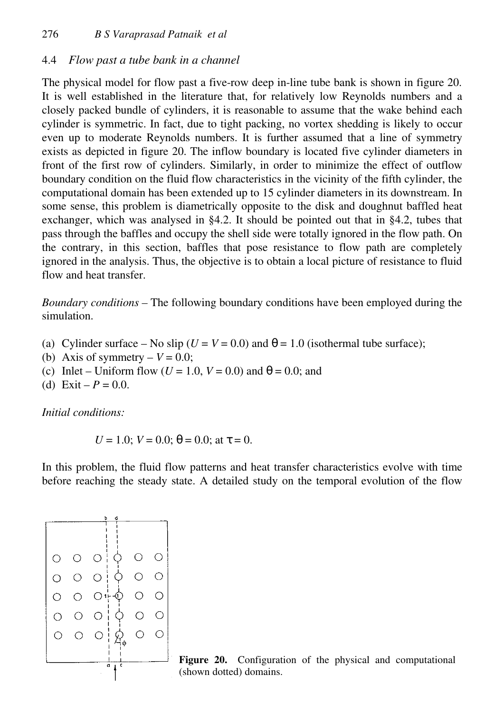# 4.4 *Flow past a tube bank in a channel*

The physical model for flow past a five-row deep in-line tube bank is shown in figure 20. It is well established in the literature that, for relatively low Reynolds numbers and a closely packed bundle of cylinders, it is reasonable to assume that the wake behind each cylinder is symmetric. In fact, due to tight packing, no vortex shedding is likely to occur even up to moderate Reynolds numbers. It is further assumed that a line of symmetry exists as depicted in figure 20. The inflow boundary is located five cylinder diameters in front of the first row of cylinders. Similarly, in order to minimize the effect of outflow boundary condition on the fluid flow characteristics in the vicinity of the fifth cylinder, the computational domain has been extended up to 15 cylinder diameters in its downstream. In some sense, this problem is diametrically opposite to the disk and doughnut baffled heat exchanger, which was analysed in §4.2. It should be pointed out that in §4.2, tubes that pass through the baffles and occupy the shell side were totally ignored in the flow path. On the contrary, in this section, baffles that pose resistance to flow path are completely ignored in the analysis. Thus, the objective is to obtain a local picture of resistance to fluid flow and heat transfer.

*Boundary conditions –* The following boundary conditions have been employed during the simulation.

- (a) Cylinder surface No slip ( $U = V = 0.0$ ) and  $\theta = 1.0$  (isothermal tube surface);
- (b) Axis of symmetry  $-V = 0.0$ ;
- (c) Inlet Uniform flow ( $U = 1.0$ ,  $V = 0.0$ ) and  $\theta = 0.0$ ; and
- (d)  $\text{Exit} P = 0.0$ .

*Initial conditions:*

*U* = 1.0; *V* = 0.0;  $\theta$  = 0.0; at  $\tau$  = 0.

In this problem, the fluid flow patterns and heat transfer characteristics evolve with time before reaching the steady state. A detailed study on the temporal evolution of the flow



**Figure 20.** Configuration of the physical and computational (shown dotted) domains.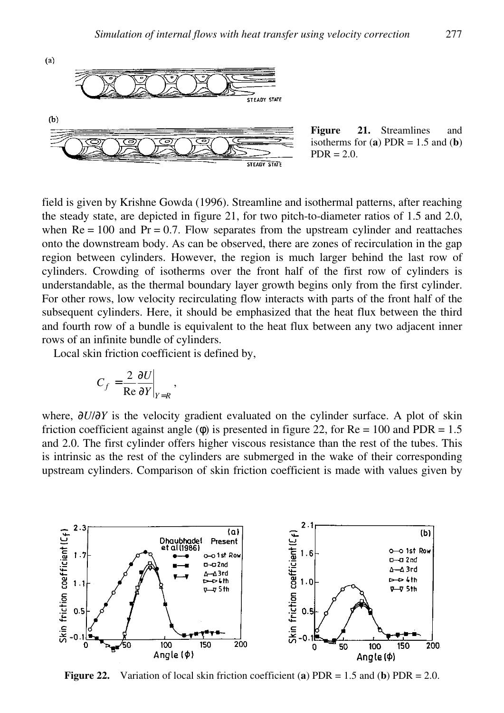

**Figure 21.** Streamlines and isotherms for  $(a)$  PDR = 1.5 and  $(b)$  $PDR = 2.0.$ 

field is given by Krishne Gowda (1996). Streamline and isothermal patterns, after reaching the steady state, are depicted in figure 21, for two pitch-to-diameter ratios of 1.5 and 2.0, when  $Re = 100$  and  $Pr = 0.7$ . Flow separates from the upstream cylinder and reattaches onto the downstream body. As can be observed, there are zones of recirculation in the gap region between cylinders. However, the region is much larger behind the last row of cylinders. Crowding of isotherms over the front half of the first row of cylinders is understandable, as the thermal boundary layer growth begins only from the first cylinder. For other rows, low velocity recirculating flow interacts with parts of the front half of the subsequent cylinders. Here, it should be emphasized that the heat flux between the third and fourth row of a bundle is equivalent to the heat flux between any two adjacent inner rows of an infinite bundle of cylinders.

Local skin friction coefficient is defined by,

$$
C_f = \frac{2}{\text{Re}} \frac{\partial U}{\partial Y}\bigg|_{Y=R},
$$

where, ∂*U*/∂*Y* is the velocity gradient evaluated on the cylinder surface. A plot of skin friction coefficient against angle ( $\phi$ ) is presented in figure 22, for Re = 100 and PDR = 1.5 and 2.0. The first cylinder offers higher viscous resistance than the rest of the tubes. This is intrinsic as the rest of the cylinders are submerged in the wake of their corresponding upstream cylinders. Comparison of skin friction coefficient is made with values given by



**Figure 22.** Variation of local skin friction coefficient (**a**) PDR = 1.5 and (**b**) PDR = 2.0.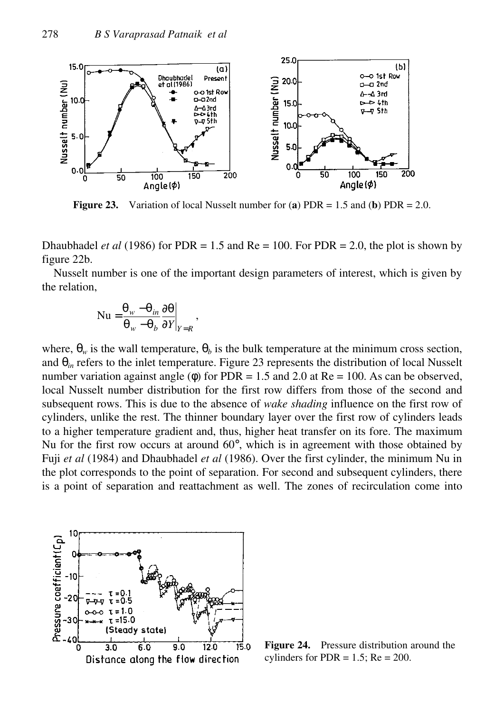

**Figure 23.** Variation of local Nusselt number for (**a**)  $PDR = 1.5$  and (**b**)  $PDR = 2.0$ .

Dhaubhadel *et al* (1986) for PDR = 1.5 and Re = 100. For PDR = 2.0, the plot is shown by figure 22b.

Nusselt number is one of the important design parameters of interest, which is given by the relation,

$$
\mathrm{Nu} = \frac{\theta_w - \theta_{in}}{\theta_w - \theta_b} \frac{\partial \theta}{\partial Y}\bigg|_{Y=R},
$$

where,  $\theta_w$  is the wall temperature,  $\theta_b$  is the bulk temperature at the minimum cross section, and θ*in* refers to the inlet temperature. Figure 23 represents the distribution of local Nusselt number variation against angle ( $\phi$ ) for PDR = 1.5 and 2.0 at Re = 100. As can be observed, local Nusselt number distribution for the first row differs from those of the second and subsequent rows. This is due to the absence of *wake shading* influence on the first row of cylinders, unlike the rest. The thinner boundary layer over the first row of cylinders leads to a higher temperature gradient and, thus, higher heat transfer on its fore. The maximum Nu for the first row occurs at around  $60^\circ$ , which is in agreement with those obtained by Fuji *et al* (1984) and Dhaubhadel *et al* (1986). Over the first cylinder, the minimum Nu in the plot corresponds to the point of separation. For second and subsequent cylinders, there is a point of separation and reattachment as well. The zones of recirculation come into



**Figure 24.** Pressure distribution around the cylinders for  $PDR = 1.5$ ;  $Re = 200$ .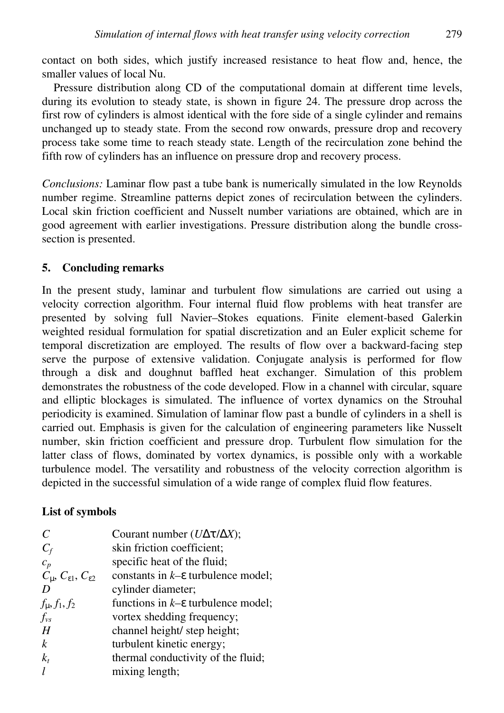contact on both sides, which justify increased resistance to heat flow and, hence, the smaller values of local Nu.

Pressure distribution along CD of the computational domain at different time levels, during its evolution to steady state, is shown in figure 24. The pressure drop across the first row of cylinders is almost identical with the fore side of a single cylinder and remains unchanged up to steady state. From the second row onwards, pressure drop and recovery process take some time to reach steady state. Length of the recirculation zone behind the fifth row of cylinders has an influence on pressure drop and recovery process.

*Conclusions:* Laminar flow past a tube bank is numerically simulated in the low Reynolds number regime. Streamline patterns depict zones of recirculation between the cylinders. Local skin friction coefficient and Nusselt number variations are obtained, which are in good agreement with earlier investigations. Pressure distribution along the bundle crosssection is presented.

# **5. Concluding remarks**

In the present study, laminar and turbulent flow simulations are carried out using a velocity correction algorithm. Four internal fluid flow problems with heat transfer are presented by solving full Navier–Stokes equations. Finite element-based Galerkin weighted residual formulation for spatial discretization and an Euler explicit scheme for temporal discretization are employed. The results of flow over a backward-facing step serve the purpose of extensive validation. Conjugate analysis is performed for flow through a disk and doughnut baffled heat exchanger. Simulation of this problem demonstrates the robustness of the code developed. Flow in a channel with circular, square and elliptic blockages is simulated. The influence of vortex dynamics on the Strouhal periodicity is examined. Simulation of laminar flow past a bundle of cylinders in a shell is carried out. Emphasis is given for the calculation of engineering parameters like Nusselt number, skin friction coefficient and pressure drop. Turbulent flow simulation for the latter class of flows, dominated by vortex dynamics, is possible only with a workable turbulence model. The versatility and robustness of the velocity correction algorithm is depicted in the successful simulation of a wide range of complex fluid flow features.

### **List of symbols**

| $\mathcal{C}$                                         | Courant number $(U\Delta\tau/\Delta X)$ ;          |
|-------------------------------------------------------|----------------------------------------------------|
| $C_f$                                                 | skin friction coefficient;                         |
| $c_p$                                                 | specific heat of the fluid;                        |
| $C_{\mu}$ , $C_{\varepsilon 1}$ , $C_{\varepsilon 2}$ | constants in $k$ - $\varepsilon$ turbulence model; |
| D                                                     | cylinder diameter;                                 |
| $f_{\mu}, f_1, f_2$                                   | functions in $k$ - $\varepsilon$ turbulence model; |
| $f_{vs}$                                              | vortex shedding frequency;                         |
| H                                                     | channel height/ step height;                       |
| k                                                     | turbulent kinetic energy;                          |
| $k_{t}$                                               | thermal conductivity of the fluid;                 |
|                                                       | mixing length;                                     |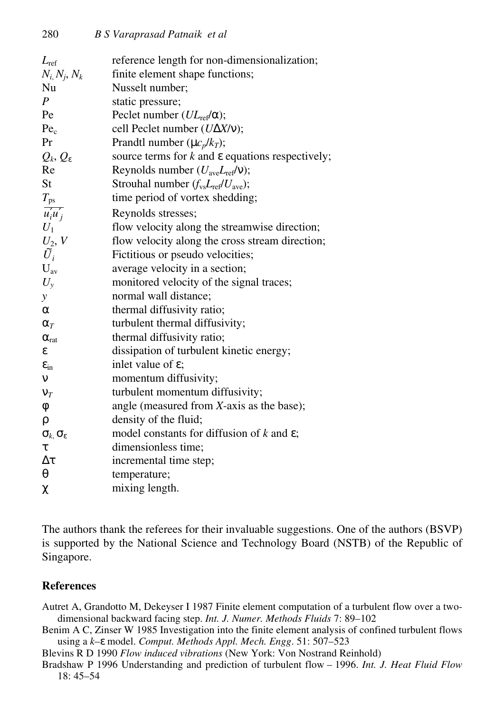| $L_{\text{ref}}$                  | reference length for non-dimensionalization;                   |
|-----------------------------------|----------------------------------------------------------------|
| $N_i, N_j, N_k$                   | finite element shape functions;                                |
| Nu                                | Nusselt number;                                                |
| $\boldsymbol{P}$                  | static pressure;                                               |
| Pe                                | Peclet number $(UL_{ref}/\alpha)$ ;                            |
| Pe <sub>c</sub>                   | cell Peclet number (UAX/v);                                    |
| Pr                                | Prandtl number ( $\mu c_p/k_T$ );                              |
| $Q_k, Q_k$                        | source terms for $k$ and $\varepsilon$ equations respectively; |
| Re                                | Reynolds number $(U_{\text{ave}}L_{\text{ref}}/v)$ ;           |
| St                                | Strouhal number $(f_{vs}L_{ref}/U_{ave});$                     |
| $\frac{T_{\text{ps}}}{u'_i u'_j}$ | time period of vortex shedding;                                |
|                                   | Reynolds stresses;                                             |
| $U_1$                             | flow velocity along the streamwise direction;                  |
| $U_2, V$                          | flow velocity along the cross stream direction;                |
| $\overline{\tilde{U}_i}$          | Fictitious or pseudo velocities;                               |
| $U_{\rm av}$                      | average velocity in a section;                                 |
| $U_{\rm v}$                       | monitored velocity of the signal traces;                       |
| у                                 | normal wall distance;                                          |
| $\alpha$                          | thermal diffusivity ratio;                                     |
| $\alpha_T$                        | turbulent thermal diffusivity;                                 |
| $\alpha_{rat}$                    | thermal diffusivity ratio;                                     |
| ε                                 | dissipation of turbulent kinetic energy;                       |
| $\varepsilon_{\rm in}$            | inlet value of $\varepsilon$ ;                                 |
| $\mathbf v$                       | momentum diffusivity;                                          |
| $V_T$                             | turbulent momentum diffusivity;                                |
| φ                                 | angle (measured from $X$ -axis as the base);                   |
| ρ                                 | density of the fluid;                                          |
| $\sigma_k, \sigma_\varepsilon$    | model constants for diffusion of k and $\varepsilon$ ;         |
| τ                                 | dimensionless time;                                            |
| $\Delta \tau$                     | incremental time step;                                         |
| θ                                 | temperature;                                                   |
| χ                                 | mixing length.                                                 |

The authors thank the referees for their invaluable suggestions. One of the authors (BSVP) is supported by the National Science and Technology Board (NSTB) of the Republic of Singapore.

# **References**

- Autret A, Grandotto M, Dekeyser I 1987 Finite element computation of a turbulent flow over a twodimensional backward facing step. *Int. J. Numer. Methods Fluids* 7: 89–102
- Benim A C, Zinser W 1985 Investigation into the finite element analysis of confined turbulent flows using a *k*–ε model. *Comput. Methods Appl. Mech. Engg*. 51: 507–523
- Blevins R D 1990 *Flow induced vibrations* (New York: Von Nostrand Reinhold)
- Bradshaw P 1996 Understanding and prediction of turbulent flow 1996. *Int. J. Heat Fluid Flow*  $18.45 - 54$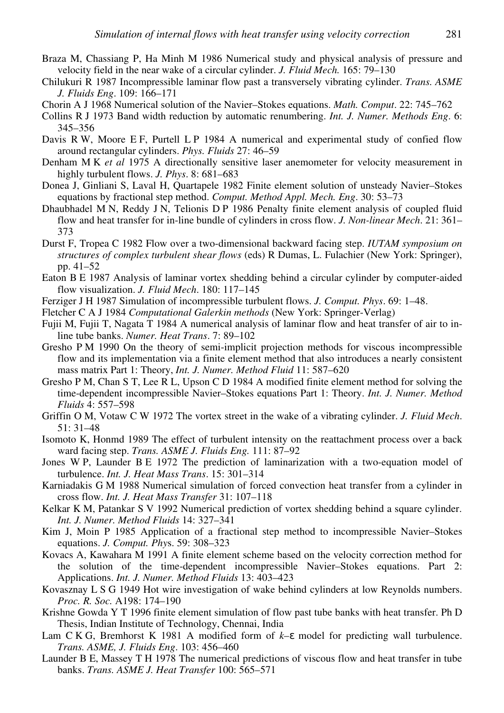- Braza M, Chassiang P, Ha Minh M 1986 Numerical study and physical analysis of pressure and velocity field in the near wake of a circular cylinder. *J. Fluid Mech.* 165: 79–130
- Chilukuri R 1987 Incompressible laminar flow past a transversely vibrating cylinder. *Trans. ASME J. Fluids Eng*. 109: 166–171
- Chorin A J 1968 Numerical solution of the Navier–Stokes equations. *Math. Comput*. 22: 745–762
- Collins R J 1973 Band width reduction by automatic renumbering. *Int. J. Numer. Methods Eng*. 6: 345–356
- Davis R W, Moore E F, Purtell L P 1984 A numerical and experimental study of confied flow around rectangular cylinders. *Phys. Fluids* 27: 46–59
- Denham M K *et al* 1975 A directionally sensitive laser anemometer for velocity measurement in highly turbulent flows. *J. Phys*. 8: 681–683
- Donea J, Ginliani S, Laval H, Quartapele 1982 Finite element solution of unsteady Navier–Stokes equations by fractional step method. *Comput. Method Appl. Mech. Eng*. 30: 53–73
- Dhaubhadel M N, Reddy J N, Telionis D P 1986 Penalty finite element analysis of coupled fluid flow and heat transfer for in-line bundle of cylinders in cross flow. *J. Non-linear Mech*. 21: 361– 373
- Durst F, Tropea C 1982 Flow over a two-dimensional backward facing step. *IUTAM symposium on structures of complex turbulent shear flows* (eds) R Dumas, L. Fulachier (New York: Springer), pp. 41–52
- Eaton B E 1987 Analysis of laminar vortex shedding behind a circular cylinder by computer-aided flow visualization. *J. Fluid Mech*. 180: 117–145
- Ferziger J H 1987 Simulation of incompressible turbulent flows. *J. Comput. Phys*. 69: 1–48.
- Fletcher C A J 1984 *Computational Galerkin methods* (New York: Springer-Verlag)
- Fujii M, Fujii T, Nagata T 1984 A numerical analysis of laminar flow and heat transfer of air to inline tube banks. *Numer. Heat Trans*. 7: 89–102
- Gresho P M 1990 On the theory of semi-implicit projection methods for viscous incompressible flow and its implementation via a finite element method that also introduces a nearly consistent mass matrix Part 1: Theory, *Int. J. Numer. Method Fluid* 11: 587–620
- Gresho P M, Chan S T, Lee R L, Upson C D 1984 A modified finite element method for solving the time-dependent incompressible Navier–Stokes equations Part 1: Theory. *Int. J. Numer. Method Fluids* 4: 557–598
- Griffin O M, Votaw C W 1972 The vortex street in the wake of a vibrating cylinder. *J. Fluid Mech*. 51: 31–48
- Isomoto K, Honmd 1989 The effect of turbulent intensity on the reattachment process over a back ward facing step. *Trans. ASME J. Fluids Eng.* 111: 87–92
- Jones W P, Launder B E 1972 The prediction of laminarization with a two-equation model of turbulence. *Int. J. Heat Mass Trans*. 15: 301–314
- Karniadakis G M 1988 Numerical simulation of forced convection heat transfer from a cylinder in cross flow. *Int. J. Heat Mass Transfer* 31: 107–118
- Kelkar K M, Patankar S V 1992 Numerical prediction of vortex shedding behind a square cylinder. *Int. J. Numer. Method Fluids* 14: 327–341
- Kim J, Moin P 1985 Application of a fractional step method to incompressible Navier–Stokes equations. *J. Comput. Phy*s. 59: 308–323
- Kovacs A, Kawahara M 1991 A finite element scheme based on the velocity correction method for the solution of the time-dependent incompressible Navier–Stokes equations. Part 2: Applications. *Int. J. Numer. Method Fluids* 13: 403–423
- Kovasznay L S G 1949 Hot wire investigation of wake behind cylinders at low Reynolds numbers. *Proc. R. Soc.* A198: 174–190
- Krishne Gowda Y T 1996 finite element simulation of flow past tube banks with heat transfer. Ph D Thesis, Indian Institute of Technology, Chennai, India
- Lam C K G, Bremhorst K 1981 A modified form of *k*–ε model for predicting wall turbulence. *Trans. ASME, J. Fluids Eng*. 103: 456–460
- Launder B E, Massey T H 1978 The numerical predictions of viscous flow and heat transfer in tube banks. *Trans. ASME J. Heat Transfer* 100: 565–571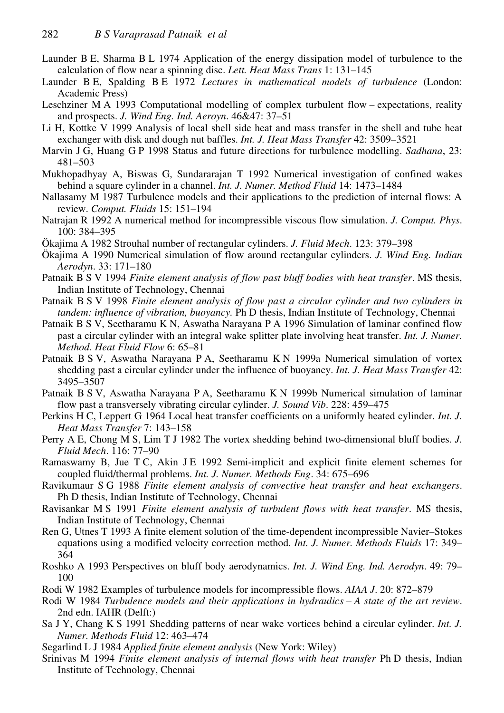- Launder B E, Sharma B L 1974 Application of the energy dissipation model of turbulence to the calculation of flow near a spinning disc. *Lett. Heat Mass Trans* 1: 131–145
- Launder B E, Spalding B E 1972 *Lectures in mathematical models of turbulence* (London: Academic Press)
- Leschziner M A 1993 Computational modelling of complex turbulent flow expectations, reality and prospects. *J. Wind Eng. Ind. Aeroyn*. 46&47: 37–51
- Li H, Kottke V 1999 Analysis of local shell side heat and mass transfer in the shell and tube heat exchanger with disk and dough nut baffles. *Int. J. Heat Mass Transfer* 42: 3509–3521
- Marvin J G, Huang G P 1998 Status and future directions for turbulence modelling. *Sadhana*, 23: 481–503
- Mukhopadhyay A, Biswas G, Sundararajan T 1992 Numerical investigation of confined wakes behind a square cylinder in a channel. *Int. J. Numer. Method Fluid* 14: 1473–1484
- Nallasamy M 1987 Turbulence models and their applications to the prediction of internal flows: A review. *Comput. Fluids* 15: 151–194
- Natrajan R 1992 A numerical method for incompressible viscous flow simulation. *J. Comput. Phys*. 100: 384–395
- Ökajima A 1982 Strouhal number of rectangular cylinders. *J. Fluid Mech*. 123: 379–398
- Ökajima A 1990 Numerical simulation of flow around rectangular cylinders. *J. Wind Eng. Indian Aerodyn*. 33: 171–180
- Patnaik B S V 1994 *Finite element analysis of flow past bluff bodies with heat transfer*. MS thesis, Indian Institute of Technology, Chennai
- Patnaik B S V 1998 *Finite element analysis of flow past a circular cylinder and two cylinders in tandem: influence of vibration, buoyancy.* Ph D thesis, Indian Institute of Technology, Chennai
- Patnaik B S V, Seetharamu K N, Aswatha Narayana P A 1996 Simulation of laminar confined flow past a circular cylinder with an integral wake splitter plate involving heat transfer. *Int. J. Numer. Method. Heat Fluid Flow* 6: 65–81
- Patnaik B S V, Aswatha Narayana P A, Seetharamu K N 1999a Numerical simulation of vortex shedding past a circular cylinder under the influence of buoyancy. *Int. J. Heat Mass Transfer* 42: 3495–3507
- Patnaik B S V, Aswatha Narayana P A, Seetharamu K N 1999b Numerical simulation of laminar flow past a transversely vibrating circular cylinder. *J. Sound Vib*. 228: 459–475
- Perkins H C, Leppert G 1964 Local heat transfer coefficients on a uniformly heated cylinder. *Int. J. Heat Mass Transfer* 7: 143–158
- Perry A E, Chong M S, Lim T J 1982 The vortex shedding behind two-dimensional bluff bodies. *J. Fluid Mech*. 116: 77–90
- Ramaswamy B, Jue T C, Akin J E 1992 Semi-implicit and explicit finite element schemes for coupled fluid/thermal problems. *Int. J. Numer. Methods Eng*. 34: 675–696
- Ravikumaur S G 1988 *Finite element analysis of convective heat transfer and heat exchangers*. Ph D thesis, Indian Institute of Technology, Chennai
- Ravisankar M S 1991 *Finite element analysis of turbulent flows with heat transfer*. MS thesis, Indian Institute of Technology, Chennai
- Ren G, Utnes T 1993 A finite element solution of the time-dependent incompressible Navier–Stokes equations using a modified velocity correction method. *Int. J. Numer. Methods Fluids* 17: 349– 364
- Roshko A 1993 Perspectives on bluff body aerodynamics. *Int. J. Wind Eng. Ind. Aerodyn*. 49: 79– 100
- Rodi W 1982 Examples of turbulence models for incompressible flows. *AIAA J*. 20: 872–879
- Rodi W 1984 *Turbulence models and their applications in hydraulics – A state of the art review*. 2nd edn. IAHR (Delft:)
- Sa J Y, Chang K S 1991 Shedding patterns of near wake vortices behind a circular cylinder. *Int. J. Numer. Methods Fluid* 12: 463–474
- Segarlind L J 1984 *Applied finite element analysis* (New York: Wiley)
- Srinivas M 1994 *Finite element analysis of internal flows with heat transfer* Ph D thesis, Indian Institute of Technology, Chennai